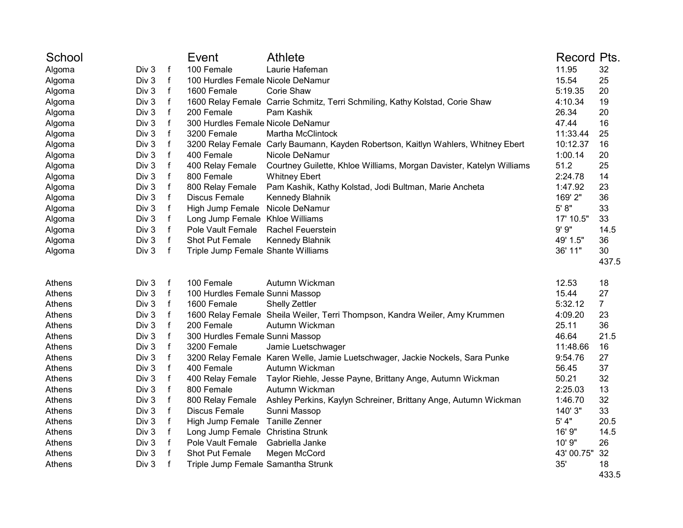| School |       |              | Event                              | <b>Athlete</b>                                                                    | Record Pts. |                |
|--------|-------|--------------|------------------------------------|-----------------------------------------------------------------------------------|-------------|----------------|
| Algoma | Div 3 | $\mathsf f$  | 100 Female                         | Laurie Hafeman                                                                    | 11.95       | 32             |
| Algoma | Div 3 | $\mathsf f$  | 100 Hurdles Female Nicole DeNamur  |                                                                                   | 15.54       | 25             |
| Algoma | Div 3 | $\mathsf f$  | 1600 Female                        | Corie Shaw                                                                        | 5:19.35     | 20             |
| Algoma | Div 3 | $\mathsf{f}$ |                                    | 1600 Relay Female Carrie Schmitz, Terri Schmiling, Kathy Kolstad, Corie Shaw      | 4:10.34     | 19             |
| Algoma | Div 3 | $\mathsf{f}$ | 200 Female                         | Pam Kashik                                                                        | 26.34       | 20             |
| Algoma | Div 3 | $\mathsf{f}$ | 300 Hurdles Female Nicole DeNamur  |                                                                                   | 47.44       | 16             |
| Algoma | Div 3 | $\mathsf f$  | 3200 Female                        | <b>Martha McClintock</b>                                                          | 11:33.44    | 25             |
| Algoma | Div 3 | f            |                                    | 3200 Relay Female Carly Baumann, Kayden Robertson, Kaitlyn Wahlers, Whitney Ebert | 10:12.37    | 16             |
| Algoma | Div 3 | $\mathsf f$  | 400 Female                         | Nicole DeNamur                                                                    | 1:00.14     | 20             |
| Algoma | Div 3 | $\mathsf{f}$ | 400 Relay Female                   | Courtney Guilette, Khloe Williams, Morgan Davister, Katelyn Williams              | 51.2        | 25             |
| Algoma | Div 3 | $\mathsf f$  | 800 Female                         | <b>Whitney Ebert</b>                                                              | 2:24.78     | 14             |
| Algoma | Div 3 | $\mathsf{f}$ | 800 Relay Female                   | Pam Kashik, Kathy Kolstad, Jodi Bultman, Marie Ancheta                            | 1:47.92     | 23             |
| Algoma | Div 3 | $\mathsf{f}$ | Discus Female                      | Kennedy Blahnik                                                                   | 169' 2"     | 36             |
| Algoma | Div 3 | $\mathsf{f}$ | High Jump Female                   | Nicole DeNamur                                                                    | 5' 8''      | 33             |
| Algoma | Div 3 | f            | Long Jump Female Khloe Williams    |                                                                                   | 17' 10.5"   | 33             |
| Algoma | Div 3 | f            | Pole Vault Female                  | <b>Rachel Feuerstein</b>                                                          | 9' 9''      | 14.5           |
| Algoma | Div 3 | $\mathsf f$  | Shot Put Female                    | Kennedy Blahnik                                                                   | 49' 1.5"    | 36             |
| Algoma | Div 3 | $\mathsf{f}$ | Triple Jump Female Shante Williams |                                                                                   | 36' 11"     | 30             |
|        |       |              |                                    |                                                                                   |             | 437.5          |
| Athens | Div 3 | $\mathsf f$  | 100 Female                         | Autumn Wickman                                                                    | 12.53       | 18             |
| Athens | Div 3 | $\mathsf{f}$ | 100 Hurdles Female Sunni Massop    |                                                                                   | 15.44       | 27             |
| Athens | Div 3 | f            | 1600 Female                        | <b>Shelly Zettler</b>                                                             | 5:32.12     | $\overline{7}$ |
| Athens | Div 3 | $\mathsf f$  |                                    | 1600 Relay Female Sheila Weiler, Terri Thompson, Kandra Weiler, Amy Krummen       | 4:09.20     | 23             |
| Athens | Div 3 | $\mathsf f$  | 200 Female                         | Autumn Wickman                                                                    | 25.11       | 36             |
| Athens | Div 3 | $\mathsf f$  | 300 Hurdles Female Sunni Massop    |                                                                                   | 46.64       | 21.5           |
| Athens | Div 3 | $\mathsf f$  | 3200 Female                        | Jamie Luetschwager                                                                | 11:48.66    | 16             |
| Athens | Div 3 | $\mathsf{f}$ |                                    | 3200 Relay Female Karen Welle, Jamie Luetschwager, Jackie Nockels, Sara Punke     | 9:54.76     | 27             |
| Athens | Div 3 | $\mathsf f$  | 400 Female                         | Autumn Wickman                                                                    | 56.45       | 37             |
| Athens | Div 3 | $\mathsf{f}$ | 400 Relay Female                   | Taylor Riehle, Jesse Payne, Brittany Ange, Autumn Wickman                         | 50.21       | 32             |
| Athens | Div 3 | $\mathsf f$  | 800 Female                         | Autumn Wickman                                                                    | 2:25.03     | 13             |
| Athens | Div 3 | $\mathsf f$  | 800 Relay Female                   | Ashley Perkins, Kaylyn Schreiner, Brittany Ange, Autumn Wickman                   | 1:46.70     | 32             |
| Athens | Div 3 | $\mathsf{f}$ | <b>Discus Female</b>               | Sunni Massop                                                                      | 140' 3"     | 33             |
| Athens | Div 3 | $\mathsf{f}$ | High Jump Female Tanille Zenner    |                                                                                   | 5' 4"       | 20.5           |
| Athens | Div 3 | $\mathsf{f}$ | Long Jump Female                   | Christina Strunk                                                                  | 16' 9"      | 14.5           |
| Athens | Div 3 | f            | Pole Vault Female                  | Gabriella Janke                                                                   | 10' 9"      | 26             |
| Athens | Div 3 | $\mathsf{f}$ | Shot Put Female                    | Megen McCord                                                                      | 43' 00.75"  | 32             |
| Athens | Div 3 | $\mathsf{f}$ | Triple Jump Female Samantha Strunk |                                                                                   | 35'         | 18             |
|        |       |              |                                    |                                                                                   |             | 433.5          |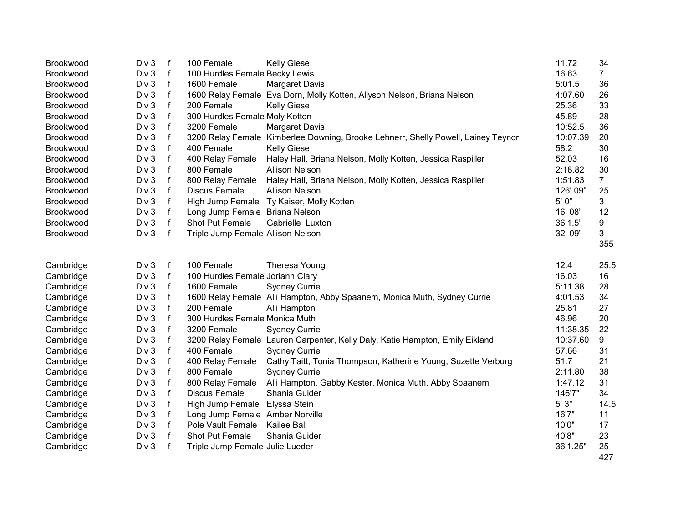| Brookwood        | Div 3 | $\mathsf{f}$ | 100 Female                        | <b>Kelly Giese</b>                                                                | 11.72     | 34             |
|------------------|-------|--------------|-----------------------------------|-----------------------------------------------------------------------------------|-----------|----------------|
| Brookwood        | Div 3 | $\mathsf{f}$ | 100 Hurdles Female Becky Lewis    |                                                                                   | 16.63     | $\overline{7}$ |
| Brookwood        | Div 3 | $\mathsf{f}$ | 1600 Female                       | <b>Margaret Davis</b>                                                             | 5:01.5    | 36             |
| Brookwood        | Div 3 | $\mathsf f$  |                                   | 1600 Relay Female Eva Dorn, Molly Kotten, Allyson Nelson, Briana Nelson           | 4:07.60   | 26             |
| Brookwood        | Div 3 | $\mathsf{f}$ | 200 Female                        | <b>Kelly Giese</b>                                                                | 25.36     | 33             |
| Brookwood        | Div 3 | f            | 300 Hurdles Female Moly Kotten    |                                                                                   | 45.89     | 28             |
| <b>Brookwood</b> | Div 3 | $\mathsf f$  | 3200 Female                       | <b>Margaret Davis</b>                                                             | 10:52.5   | 36             |
| Brookwood        | Div 3 | $\mathsf f$  |                                   | 3200 Relay Female Kimberlee Downing, Brooke Lehnerr, Shelly Powell, Lainey Teynor | 10:07.39  | 20             |
| Brookwood        | Div 3 | $\mathsf{f}$ | 400 Female                        | <b>Kelly Giese</b>                                                                | 58.2      | 30             |
| <b>Brookwood</b> | Div 3 | $\mathsf{f}$ | 400 Relay Female                  | Haley Hall, Briana Nelson, Molly Kotten, Jessica Raspiller                        | 52.03     | 16             |
| Brookwood        | Div 3 | $\mathsf f$  | 800 Female                        | <b>Allison Nelson</b>                                                             | 2:18.82   | 30             |
| Brookwood        | Div 3 | $\mathsf f$  | 800 Relay Female                  | Haley Hall, Briana Nelson, Molly Kotten, Jessica Raspiller                        | 1:51.83   | $\overline{7}$ |
| <b>Brookwood</b> | Div 3 | f            | Discus Female                     | <b>Allison Nelson</b>                                                             | 126' 09"  | 25             |
| Brookwood        | Div 3 | $\mathsf f$  |                                   | High Jump Female Ty Kaiser, Molly Kotten                                          | $5'$ $0"$ | 3              |
| Brookwood        | Div 3 | f            | Long Jump Female Briana Nelson    |                                                                                   | 16' 08"   | 12             |
| <b>Brookwood</b> | Div 3 | f            | Shot Put Female                   | Gabrielle Luxton                                                                  | 36'1.5"   | 9              |
| Brookwood        | Div 3 | f            | Triple Jump Female Allison Nelson |                                                                                   | 32' 09"   | 3              |
|                  |       |              |                                   |                                                                                   |           | 355            |
| Cambridge        | Div 3 | $\mathsf{f}$ | 100 Female                        | Theresa Young                                                                     | 12.4      | 25.5           |
| Cambridge        | Div 3 | $\mathsf{f}$ | 100 Hurdles Female Joriann Clary  |                                                                                   | 16.03     | 16             |
| Cambridge        | Div 3 | f            | 1600 Female                       | <b>Sydney Currie</b>                                                              | 5:11.38   | 28             |
| Cambridge        | Div 3 | f            |                                   | 1600 Relay Female Alli Hampton, Abby Spaanem, Monica Muth, Sydney Currie          | 4:01.53   | 34             |
| Cambridge        | Div 3 | f            | 200 Female                        | Alli Hampton                                                                      | 25.81     | 27             |
| Cambridge        | Div 3 | $\mathsf{f}$ | 300 Hurdles Female Monica Muth    |                                                                                   | 46.96     | 20             |
| Cambridge        | Div 3 | f            | 3200 Female                       | <b>Sydney Currie</b>                                                              | 11:38.35  | 22             |
| Cambridge        | Div 3 | $\mathsf{f}$ |                                   | 3200 Relay Female Lauren Carpenter, Kelly Daly, Katie Hampton, Emily Eikland      | 10:37.60  | 9              |
| Cambridge        | Div 3 | $\mathsf{f}$ | 400 Female                        | <b>Sydney Currie</b>                                                              | 57.66     | 31             |
| Cambridge        | Div 3 | f            | 400 Relay Female                  | Cathy Taitt, Tonia Thompson, Katherine Young, Suzette Verburg                     | 51.7      | 21             |
| Cambridge        | Div 3 | $\mathsf{f}$ | 800 Female                        | <b>Sydney Currie</b>                                                              | 2:11.80   | 38             |
| Cambridge        | Div 3 | $\mathsf{f}$ | 800 Relay Female                  | Alli Hampton, Gabby Kester, Monica Muth, Abby Spaanem                             | 1:47.12   | 31             |
|                  | Div 3 | $\mathsf{f}$ | <b>Discus Female</b>              | Shania Guider                                                                     | 146'7"    | 34             |
| Cambridge        | Div 3 | $\mathsf{f}$ |                                   |                                                                                   | 5'3"      | 14.5           |
| Cambridge        |       | f            | High Jump Female Elyssa Stein     |                                                                                   | 16'7"     |                |
| Cambridge        | Div 3 |              | Long Jump Female Amber Norville   |                                                                                   | 10'0"     | 11             |
| Cambridge        | Div 3 | f            | Pole Vault Female                 | Kailee Ball                                                                       |           | 17             |
| Cambridge        | Div 3 | f            | Shot Put Female                   | Shania Guider                                                                     | 40'8"     | 23             |
| Cambridge        | Div 3 | $\mathbf{f}$ | Triple Jump Female Julie Lueder   |                                                                                   | 36'1.25"  | 25<br>427      |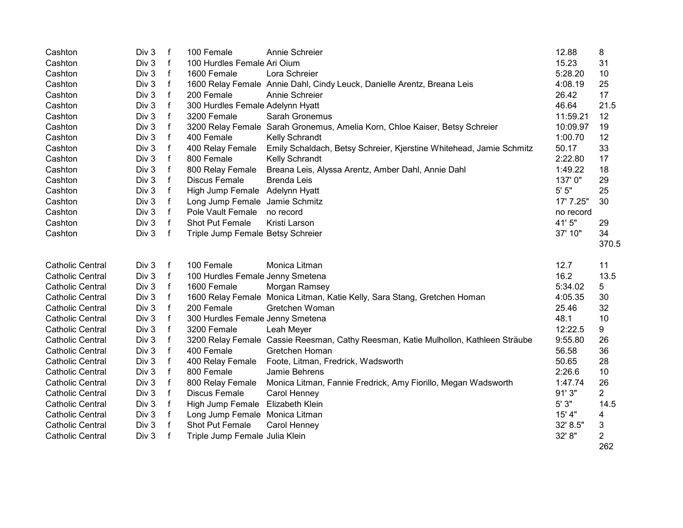| Cashton                 | Div 3 | f            | 100 Female                        | Annie Schreier                                                                     | 12.88     | 8     |
|-------------------------|-------|--------------|-----------------------------------|------------------------------------------------------------------------------------|-----------|-------|
| Cashton                 | Div 3 | f            | 100 Hurdles Female Ari Oium       |                                                                                    | 15.23     | 31    |
| Cashton                 | Div 3 | f            | 1600 Female                       | Lora Schreier                                                                      | 5:28.20   | 10    |
| Cashton                 | Div 3 | f            |                                   | 1600 Relay Female Annie Dahl, Cindy Leuck, Danielle Arentz, Breana Leis            | 4:08.19   | 25    |
| Cashton                 | Div 3 | $\mathsf{f}$ | 200 Female                        | Annie Schreier                                                                     | 26.42     | 17    |
| Cashton                 | Div 3 | f            | 300 Hurdles Female Adelynn Hyatt  |                                                                                    | 46.64     | 21.5  |
| Cashton                 | Div 3 | $\mathsf{f}$ | 3200 Female                       | Sarah Gronemus                                                                     | 11:59.21  | 12    |
| Cashton                 | Div 3 | $\mathbf f$  |                                   | 3200 Relay Female Sarah Gronemus, Amelia Korn, Chloe Kaiser, Betsy Schreier        | 10:09.97  | 19    |
| Cashton                 | Div 3 | $\mathsf f$  | 400 Female                        | Kelly Schrandt                                                                     | 1:00.70   | 12    |
| Cashton                 | Div 3 | $\mathsf f$  | 400 Relay Female                  | Emily Schaldach, Betsy Schreier, Kjerstine Whitehead, Jamie Schmitz                | 50.17     | 33    |
| Cashton                 | Div 3 | f            | 800 Female                        | <b>Kelly Schrandt</b>                                                              | 2:22.80   | 17    |
| Cashton                 | Div 3 | $\mathsf f$  | 800 Relay Female                  | Breana Leis, Alyssa Arentz, Amber Dahl, Annie Dahl                                 | 1:49.22   | 18    |
| Cashton                 | Div 3 | $\mathsf{f}$ | <b>Discus Female</b>              | <b>Brenda Leis</b>                                                                 | 137'0"    | 29    |
| Cashton                 | Div 3 | $\mathsf f$  | High Jump Female Adelynn Hyatt    |                                                                                    | $5'$ $5"$ | 25    |
| Cashton                 | Div 3 | $\mathsf{f}$ | Long Jump Female                  | Jamie Schmitz                                                                      | 17' 7.25" | 30    |
| Cashton                 | Div 3 | $\mathsf f$  | Pole Vault Female                 | no record                                                                          | no record |       |
| Cashton                 | Div 3 | $\mathsf{f}$ | Shot Put Female                   | Kristi Larson                                                                      | 41' 5"    | 29    |
| Cashton                 | Div 3 | $\mathsf{f}$ | Triple Jump Female Betsy Schreier |                                                                                    | 37' 10"   | 34    |
|                         |       |              |                                   |                                                                                    |           | 370.5 |
| <b>Catholic Central</b> | Div 3 | $\mathsf{f}$ | 100 Female                        | Monica Litman                                                                      | 12.7      | 11    |
| <b>Catholic Central</b> | Div 3 | f            | 100 Hurdles Female Jenny Smetena  |                                                                                    | 16.2      | 13.5  |
| <b>Catholic Central</b> | Div 3 | f            | 1600 Female                       | Morgan Ramsey                                                                      | 5:34.02   | 5     |
| <b>Catholic Central</b> | Div 3 | f            |                                   | 1600 Relay Female Monica Litman, Katie Kelly, Sara Stang, Gretchen Homan           | 4:05.35   | 30    |
| <b>Catholic Central</b> | Div 3 | f            | 200 Female                        | Gretchen Woman                                                                     | 25.46     | 32    |
| <b>Catholic Central</b> | Div 3 | f            | 300 Hurdles Female Jenny Smetena  |                                                                                    | 48.1      | 10    |
| <b>Catholic Central</b> | Div 3 | f            | 3200 Female                       | Leah Meyer                                                                         | 12:22.5   | 9     |
| <b>Catholic Central</b> | Div 3 | f            |                                   | 3200 Relay Female Cassie Reesman, Cathy Reesman, Katie Mulhollon, Kathleen Sträube | 9:55.80   | 26    |
| <b>Catholic Central</b> | Div 3 | f            | 400 Female                        | Gretchen Homan                                                                     | 56.58     | 36    |
| <b>Catholic Central</b> | Div 3 | f            | 400 Relay Female                  | Foote, Litman, Fredrick, Wadsworth                                                 | 50.65     | 28    |
| <b>Catholic Central</b> | Div 3 | $\mathsf{f}$ | 800 Female                        | Jamie Behrens                                                                      | 2:26.6    | 10    |
| <b>Catholic Central</b> | Div 3 | f            | 800 Relay Female                  | Monica Litman, Fannie Fredrick, Amy Fiorillo, Megan Wadsworth                      | 1:47.74   | 26    |
| <b>Catholic Central</b> | Div 3 | f            | Discus Female                     | Carol Henney                                                                       | 91' 3"    | 2     |
| <b>Catholic Central</b> | Div 3 | f            | High Jump Female                  | Elizabeth Klein                                                                    | $5'3"$    | 14.5  |
| <b>Catholic Central</b> | Div 3 | f            | Long Jump Female Monica Litman    |                                                                                    | 15' 4"    | 4     |
| <b>Catholic Central</b> | Div 3 | f            | Shot Put Female                   | Carol Henney                                                                       | 32' 8.5"  | 3     |
| <b>Catholic Central</b> | Div 3 | f            | Triple Jump Female Julia Klein    |                                                                                    | 32' 8"    | 2     |
|                         |       |              |                                   |                                                                                    |           | 262   |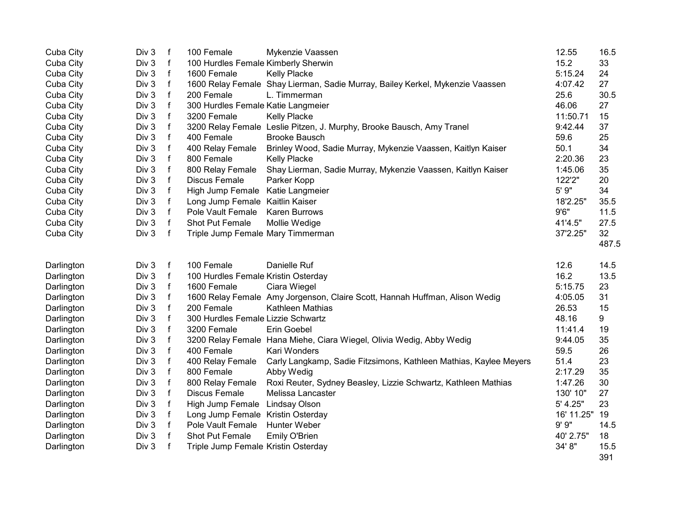| Cuba City  | Div 3 | $\mathsf f$  | 100 Female                          | Mykenzie Vaassen                                                              | 12.55      | 16.5        |
|------------|-------|--------------|-------------------------------------|-------------------------------------------------------------------------------|------------|-------------|
| Cuba City  | Div 3 | $\mathsf{f}$ | 100 Hurdles Female Kimberly Sherwin |                                                                               | 15.2       | 33          |
| Cuba City  | Div 3 | f            | 1600 Female                         | <b>Kelly Placke</b>                                                           | 5:15.24    | 24          |
| Cuba City  | Div 3 | $\mathsf f$  |                                     | 1600 Relay Female Shay Lierman, Sadie Murray, Bailey Kerkel, Mykenzie Vaassen | 4:07.42    | 27          |
| Cuba City  | Div 3 | f            | 200 Female                          | L. Timmerman                                                                  | 25.6       | 30.5        |
| Cuba City  | Div 3 | f            | 300 Hurdles Female Katie Langmeier  |                                                                               | 46.06      | 27          |
| Cuba City  | Div 3 | f            | 3200 Female                         | <b>Kelly Placke</b>                                                           | 11:50.71   | 15          |
| Cuba City  | Div 3 | f            |                                     | 3200 Relay Female Leslie Pitzen, J. Murphy, Brooke Bausch, Amy Tranel         | 9:42.44    | 37          |
| Cuba City  | Div 3 | f            | 400 Female                          | <b>Brooke Bausch</b>                                                          | 59.6       | 25          |
| Cuba City  | Div 3 | $\mathsf f$  | 400 Relay Female                    | Brinley Wood, Sadie Murray, Mykenzie Vaassen, Kaitlyn Kaiser                  | 50.1       | 34          |
| Cuba City  | Div 3 | f            | 800 Female                          | <b>Kelly Placke</b>                                                           | 2:20.36    | 23          |
| Cuba City  | Div 3 | f            | 800 Relay Female                    | Shay Lierman, Sadie Murray, Mykenzie Vaassen, Kaitlyn Kaiser                  | 1:45.06    | 35          |
| Cuba City  | Div 3 | f            | Discus Female                       | Parker Kopp                                                                   | 122'2"     | 20          |
| Cuba City  | Div 3 | f            | High Jump Female Katie Langmeier    |                                                                               | 5' 9"      | 34          |
| Cuba City  | Div 3 | $\mathsf f$  | Long Jump Female Kaitlin Kaiser     |                                                                               | 18'2.25"   | 35.5        |
| Cuba City  | Div 3 | $\mathsf f$  | Pole Vault Female                   | <b>Karen Burrows</b>                                                          | 9'6''      | 11.5        |
| Cuba City  | Div 3 | f            | Shot Put Female                     | Mollie Wedige                                                                 | 41'4.5"    | 27.5        |
| Cuba City  | Div 3 | f            | Triple Jump Female Mary Timmerman   |                                                                               | 37'2.25"   | 32          |
|            |       |              |                                     |                                                                               |            | 487.5       |
| Darlington | Div 3 | f            | 100 Female                          | Danielle Ruf                                                                  | 12.6       | 14.5        |
| Darlington | Div 3 | f            | 100 Hurdles Female Kristin Osterday |                                                                               | 16.2       | 13.5        |
| Darlington | Div 3 | $\mathsf f$  | 1600 Female                         | Ciara Wiegel                                                                  | 5:15.75    | 23          |
| Darlington | Div 3 | $\mathsf f$  |                                     | 1600 Relay Female Amy Jorgenson, Claire Scott, Hannah Huffman, Alison Wedig   | 4:05.05    | 31          |
| Darlington | Div 3 | f            | 200 Female                          | Kathleen Mathias                                                              | 26.53      | 15          |
| Darlington | Div 3 | f            | 300 Hurdles Female Lizzie Schwartz  |                                                                               | 48.16      | 9           |
| Darlington | Div 3 | f            | 3200 Female                         | Erin Goebel                                                                   | 11:41.4    | 19          |
| Darlington | Div 3 | f            |                                     | 3200 Relay Female Hana Miehe, Ciara Wiegel, Olivia Wedig, Abby Wedig          | 9:44.05    | 35          |
| Darlington | Div 3 | f            | 400 Female                          | Kari Wonders                                                                  | 59.5       | 26          |
| Darlington | Div 3 | f            | 400 Relay Female                    | Carly Langkamp, Sadie Fitzsimons, Kathleen Mathias, Kaylee Meyers             | 51.4       | 23          |
| Darlington | Div 3 | f            | 800 Female                          | Abby Wedig                                                                    | 2:17.29    | 35          |
| Darlington | Div 3 | f            | 800 Relay Female                    | Roxi Reuter, Sydney Beasley, Lizzie Schwartz, Kathleen Mathias                | 1:47.26    | 30          |
| Darlington | Div 3 | f            | <b>Discus Female</b>                | Melissa Lancaster                                                             | 130' 10"   | 27          |
| Darlington | Div 3 | f            | High Jump Female Lindsay Olson      |                                                                               | 5' 4.25"   | 23          |
| Darlington | Div 3 | f            | Long Jump Female Kristin Osterday   |                                                                               | 16' 11.25" | 19          |
| Darlington | Div 3 | f            | Pole Vault Female                   | Hunter Weber                                                                  | 9' 9''     | 14.5        |
| Darlington | Div 3 | f            | Shot Put Female                     | Emily O'Brien                                                                 | 40' 2.75"  | 18          |
| Darlington | Div 3 | f            | Triple Jump Female Kristin Osterday |                                                                               | 34' 8"     | 15.5<br>391 |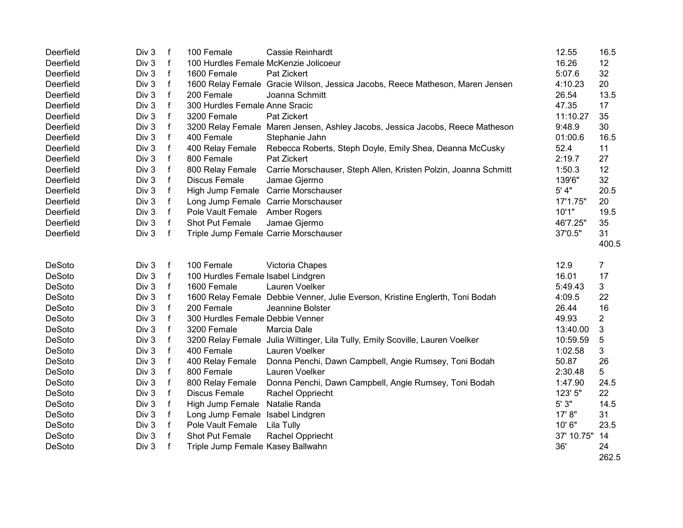| Deerfield | Div 3 | $\mathsf{f}$ | 100 Female                            | <b>Cassie Reinhardt</b>                                                       | 12.55      | 16.5           |
|-----------|-------|--------------|---------------------------------------|-------------------------------------------------------------------------------|------------|----------------|
| Deerfield | Div 3 | f            | 100 Hurdles Female McKenzie Jolicoeur |                                                                               | 16.26      | 12             |
| Deerfield | Div 3 | $\mathsf f$  | 1600 Female                           | Pat Zickert                                                                   | 5:07.6     | 32             |
| Deerfield | Div 3 | $\mathsf f$  |                                       | 1600 Relay Female Gracie Wilson, Jessica Jacobs, Reece Matheson, Maren Jensen | 4:10.23    | 20             |
| Deerfield | Div 3 | $\mathsf f$  | 200 Female                            | Joanna Schmitt                                                                | 26.54      | 13.5           |
| Deerfield | Div 3 | f            | 300 Hurdles Female Anne Sracic        |                                                                               | 47.35      | 17             |
| Deerfield | Div 3 | $\mathsf f$  | 3200 Female                           | Pat Zickert                                                                   | 11:10.27   | 35             |
| Deerfield | Div 3 | f            |                                       | 3200 Relay Female Maren Jensen, Ashley Jacobs, Jessica Jacobs, Reece Matheson | 9:48.9     | 30             |
| Deerfield | Div 3 | $\mathsf{f}$ | 400 Female                            | Stephanie Jahn                                                                | 01:00.6    | 16.5           |
| Deerfield | Div 3 | f            | 400 Relay Female                      | Rebecca Roberts, Steph Doyle, Emily Shea, Deanna McCusky                      | 52.4       | 11             |
| Deerfield | Div 3 | f            | 800 Female                            | Pat Zickert                                                                   | 2:19.7     | 27             |
| Deerfield | Div 3 | f            | 800 Relay Female                      | Carrie Morschauser, Steph Allen, Kristen Polzin, Joanna Schmitt               | 1:50.3     | 12             |
| Deerfield | Div 3 | $\mathsf{f}$ | Discus Female                         | Jamae Gjermo                                                                  | 139'6"     | 32             |
| Deerfield | Div 3 | f            |                                       | High Jump Female Carrie Morschauser                                           | 5' 4"      | 20.5           |
| Deerfield | Div 3 | f            |                                       | Long Jump Female Carrie Morschauser                                           | 17'1.75"   | 20             |
| Deerfield | Div 3 | $\mathsf f$  | Pole Vault Female                     | Amber Rogers                                                                  | 10'1"      | 19.5           |
| Deerfield | Div 3 | $\mathsf f$  | Shot Put Female                       | Jamae Gjermo                                                                  | 46'7.25"   | 35             |
| Deerfield | Div 3 | $\mathsf{f}$ |                                       | Triple Jump Female Carrie Morschauser                                         | 37'0.5"    | 31             |
|           |       |              |                                       |                                                                               |            | 400.5          |
| DeSoto    | Div 3 | $\mathsf{f}$ | 100 Female                            | Victoria Chapes                                                               | 12.9       | $\overline{7}$ |
| DeSoto    | Div 3 | f            | 100 Hurdles Female Isabel Lindgren    |                                                                               | 16.01      | 17             |
| DeSoto    | Div 3 | $\mathsf{f}$ | 1600 Female                           | Lauren Voelker                                                                | 5:49.43    | 3              |
| DeSoto    | Div 3 | f            |                                       | 1600 Relay Female Debbie Venner, Julie Everson, Kristine Englerth, Toni Bodah | 4:09.5     | 22             |
| DeSoto    | Div 3 | $\mathsf f$  | 200 Female                            | Jeannine Bolster                                                              | 26.44      | 16             |
| DeSoto    | Div 3 | f            | 300 Hurdles Female Debbie Venner      |                                                                               | 49.93      | $\overline{2}$ |
| DeSoto    | Div 3 | f            | 3200 Female                           | Marcia Dale                                                                   | 13:40.00   | 3              |
| DeSoto    | Div 3 | f            |                                       | 3200 Relay Female Julia Wiltinger, Lila Tully, Emily Scoville, Lauren Voelker | 10:59.59   | $\sqrt{5}$     |
| DeSoto    | Div 3 | $\mathsf f$  | 400 Female                            | Lauren Voelker                                                                | 1:02.58    | 3              |
| DeSoto    | Div 3 | $\mathsf{f}$ | 400 Relay Female                      | Donna Penchi, Dawn Campbell, Angie Rumsey, Toni Bodah                         | 50.87      | 26             |
| DeSoto    | Div 3 | $\mathsf f$  | 800 Female                            | Lauren Voelker                                                                | 2:30.48    | 5              |
| DeSoto    | Div 3 | f            | 800 Relay Female                      | Donna Penchi, Dawn Campbell, Angie Rumsey, Toni Bodah                         | 1:47.90    | 24.5           |
| DeSoto    | Div 3 | f            | <b>Discus Female</b>                  | Rachel Oppriecht                                                              | 123' 5"    | 22             |
| DeSoto    | Div 3 | f            | High Jump Female                      | Natalie Randa                                                                 | 5' 3"      | 14.5           |
| DeSoto    | Div 3 | f            | Long Jump Female Isabel Lindgren      |                                                                               | 17' 8"     | 31             |
| DeSoto    | Div 3 | $\mathsf f$  | Pole Vault Female                     | Lila Tully                                                                    | 10' 6"     | 23.5           |
| DeSoto    | Div 3 | f            | Shot Put Female                       | Rachel Oppriecht                                                              | 37' 10.75" | 14             |
| DeSoto    | Div 3 | $\mathbf f$  | Triple Jump Female Kasey Ballwahn     |                                                                               | 36'        | 24<br>262.5    |
|           |       |              |                                       |                                                                               |            |                |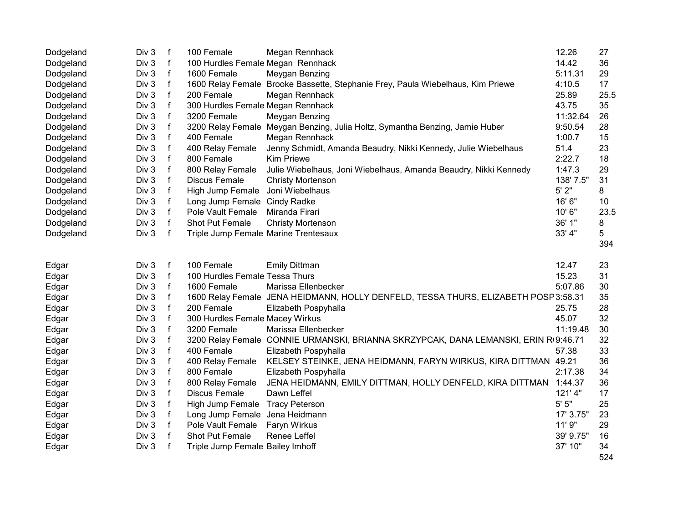| Dodgeland | Div 3 | f            | 100 Female                           | Megan Rennhack                                                                      | 12.26     | 27   |
|-----------|-------|--------------|--------------------------------------|-------------------------------------------------------------------------------------|-----------|------|
| Dodgeland | Div 3 | $\mathsf{f}$ | 100 Hurdles Female Megan Rennhack    |                                                                                     | 14.42     | 36   |
| Dodgeland | Div 3 | $\mathsf{f}$ | 1600 Female                          | Meygan Benzing                                                                      | 5:11.31   | 29   |
| Dodgeland | Div 3 | $\mathsf{f}$ |                                      | 1600 Relay Female Brooke Bassette, Stephanie Frey, Paula Wiebelhaus, Kim Priewe     | 4:10.5    | 17   |
| Dodgeland | Div 3 | $\mathsf{f}$ | 200 Female                           | Megan Rennhack                                                                      | 25.89     | 25.5 |
| Dodgeland | Div 3 | f            | 300 Hurdles Female Megan Rennhack    |                                                                                     | 43.75     | 35   |
| Dodgeland | Div 3 | f            | 3200 Female                          | Meygan Benzing                                                                      | 11:32.64  | 26   |
| Dodgeland | Div 3 | f            |                                      | 3200 Relay Female Meygan Benzing, Julia Holtz, Symantha Benzing, Jamie Huber        | 9:50.54   | 28   |
| Dodgeland | Div 3 | f            | 400 Female                           | Megan Rennhack                                                                      | 1:00.7    | 15   |
| Dodgeland | Div 3 | $\mathsf{f}$ | 400 Relay Female                     | Jenny Schmidt, Amanda Beaudry, Nikki Kennedy, Julie Wiebelhaus                      | 51.4      | 23   |
| Dodgeland | Div 3 | $\mathsf{f}$ | 800 Female                           | <b>Kim Priewe</b>                                                                   | 2:22.7    | 18   |
| Dodgeland | Div 3 | f            | 800 Relay Female                     | Julie Wiebelhaus, Joni Wiebelhaus, Amanda Beaudry, Nikki Kennedy                    | 1:47.3    | 29   |
| Dodgeland | Div 3 | $\mathsf{f}$ | Discus Female                        | <b>Christy Mortenson</b>                                                            | 138' 7.5" | 31   |
| Dodgeland | Div 3 | $\mathsf{f}$ | High Jump Female Joni Wiebelhaus     |                                                                                     | 5'2"      | 8    |
| Dodgeland | Div 3 | $\mathsf f$  | Long Jump Female Cindy Radke         |                                                                                     | 16' 6"    | 10   |
| Dodgeland | Div 3 | $\mathsf{f}$ | Pole Vault Female                    | Miranda Firari                                                                      | 10' 6"    | 23.5 |
| Dodgeland | Div 3 | $\mathsf{f}$ | Shot Put Female                      | <b>Christy Mortenson</b>                                                            | 36' 1"    | 8    |
| Dodgeland | Div 3 | $\mathsf{f}$ | Triple Jump Female Marine Trentesaux |                                                                                     | 33' 4"    | 5    |
|           |       |              |                                      |                                                                                     |           | 394  |
|           |       |              |                                      |                                                                                     |           |      |
| Edgar     | Div 3 | f            | 100 Female                           | <b>Emily Dittman</b>                                                                | 12.47     | 23   |
| Edgar     | Div 3 | $\mathsf{f}$ | 100 Hurdles Female Tessa Thurs       |                                                                                     | 15.23     | 31   |
| Edgar     | Div 3 | $\mathsf f$  | 1600 Female                          | Marissa Ellenbecker                                                                 | 5:07.86   | 30   |
| Edgar     | Div 3 | $\mathsf{f}$ |                                      | 1600 Relay Female JENA HEIDMANN, HOLLY DENFELD, TESSA THURS, ELIZABETH POSP 3:58.31 |           | 35   |
| Edgar     | Div 3 | $\mathsf{f}$ | 200 Female                           | Elizabeth Pospyhalla                                                                | 25.75     | 28   |
| Edgar     | Div 3 | f            | 300 Hurdles Female Macey Wirkus      |                                                                                     | 45.07     | 32   |
| Edgar     | Div 3 | f            | 3200 Female                          | Marissa Ellenbecker                                                                 | 11:19.48  | 30   |
| Edgar     | Div 3 | $\mathsf f$  |                                      | 3200 Relay Female CONNIE URMANSKI, BRIANNA SKRZYPCAK, DANA LEMANSKI, ERIN R09:46.71 |           | 32   |
| Edgar     | Div 3 | $\mathsf{f}$ | 400 Female                           | Elizabeth Pospyhalla                                                                | 57.38     | 33   |
| Edgar     | Div 3 | $\mathsf f$  | 400 Relay Female                     | KELSEY STEINKE, JENA HEIDMANN, FARYN WIRKUS, KIRA DITTMAN 49.21                     |           | 36   |
| Edgar     | Div 3 | $\mathsf{f}$ | 800 Female                           | Elizabeth Pospyhalla                                                                | 2:17.38   | 34   |
| Edgar     | Div 3 | f            | 800 Relay Female                     | JENA HEIDMANN, EMILY DITTMAN, HOLLY DENFELD, KIRA DITTMAN                           | 1:44.37   | 36   |
| Edgar     | Div 3 | f            | Discus Female                        | Dawn Leffel                                                                         | 121'4"    | 17   |
| Edgar     | Div 3 | f            | High Jump Female Tracy Peterson      |                                                                                     | 5'5''     | 25   |
| Edgar     | Div 3 | f            | Long Jump Female Jena Heidmann       |                                                                                     | 17' 3.75" | 23   |
| Edgar     | Div 3 | $\mathsf f$  | Pole Vault Female                    | Faryn Wirkus                                                                        | 11' 9"    | 29   |
| Edgar     | Div 3 | f            | Shot Put Female                      | Renee Leffel                                                                        | 39' 9.75" | 16   |
| Edgar     | Div 3 | $\mathsf f$  | Triple Jump Female Bailey Imhoff     |                                                                                     | 37' 10"   | 34   |
|           |       |              |                                      |                                                                                     |           | 524  |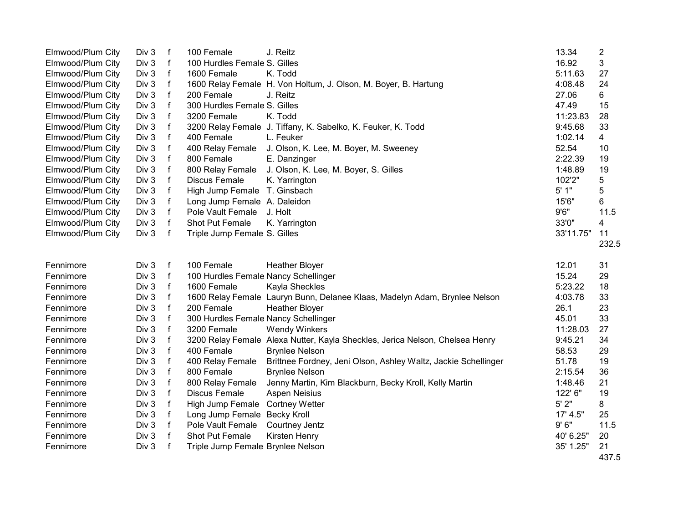| Elmwood/Plum City | Div 3 | f           | 100 Female                           | J. Reitz                                                                     | 13.34     | $\overline{\mathbf{c}}$ |
|-------------------|-------|-------------|--------------------------------------|------------------------------------------------------------------------------|-----------|-------------------------|
| Elmwood/Plum City | Div 3 | $\mathsf f$ | 100 Hurdles Female S. Gilles         |                                                                              | 16.92     | 3                       |
| Elmwood/Plum City | Div 3 | $\mathsf f$ | 1600 Female                          | K. Todd                                                                      | 5:11.63   | 27                      |
| Elmwood/Plum City | Div 3 | $\mathsf f$ |                                      | 1600 Relay Female H. Von Holtum, J. Olson, M. Boyer, B. Hartung              | 4:08.48   | 24                      |
| Elmwood/Plum City | Div 3 | $\mathsf f$ | 200 Female                           | J. Reitz                                                                     | 27.06     | 6                       |
| Elmwood/Plum City | Div 3 | $\mathsf f$ | 300 Hurdles Female S. Gilles         |                                                                              | 47.49     | 15                      |
| Elmwood/Plum City | Div 3 | $\mathsf f$ | 3200 Female                          | K. Todd                                                                      | 11:23.83  | 28                      |
| Elmwood/Plum City | Div 3 | $\mathsf f$ |                                      | 3200 Relay Female J. Tiffany, K. Sabelko, K. Feuker, K. Todd                 | 9:45.68   | 33                      |
| Elmwood/Plum City | Div 3 | f           | 400 Female                           | L. Feuker                                                                    | 1:02.14   | 4                       |
| Elmwood/Plum City | Div 3 | $\mathsf f$ | 400 Relay Female                     | J. Olson, K. Lee, M. Boyer, M. Sweeney                                       | 52.54     | 10                      |
| Elmwood/Plum City | Div 3 | $\mathsf f$ | 800 Female                           | E. Danzinger                                                                 | 2:22.39   | 19                      |
| Elmwood/Plum City | Div 3 | $\mathsf f$ | 800 Relay Female                     | J. Olson, K. Lee, M. Boyer, S. Gilles                                        | 1:48.89   | 19                      |
| Elmwood/Plum City | Div 3 | f           | <b>Discus Female</b>                 | K. Yarrington                                                                | 102'2"    | 5                       |
| Elmwood/Plum City | Div 3 | $\mathsf f$ | High Jump Female T. Ginsbach         |                                                                              | 5' 1"     | 5                       |
| Elmwood/Plum City | Div 3 | $\mathsf f$ | Long Jump Female A. Daleidon         |                                                                              | 15'6"     | 6                       |
| Elmwood/Plum City | Div 3 | $\mathsf f$ | Pole Vault Female                    | J. Holt                                                                      | 9'6''     | 11.5                    |
| Elmwood/Plum City | Div 3 | $\mathsf f$ | Shot Put Female                      | K. Yarrington                                                                | 33'0"     | 4                       |
| Elmwood/Plum City | Div 3 | $\mathsf f$ | Triple Jump Female S. Gilles         |                                                                              | 33'11.75" | 11                      |
|                   |       |             |                                      |                                                                              |           | 232.5                   |
| Fennimore         | Div 3 | f           | 100 Female                           | <b>Heather Bloyer</b>                                                        | 12.01     | 31                      |
| Fennimore         | Div 3 | $\mathsf f$ | 100 Hurdles Female Nancy Schellinger |                                                                              | 15.24     | 29                      |
| Fennimore         | Div 3 | $\mathsf f$ | 1600 Female                          | Kayla Sheckles                                                               | 5:23.22   | 18                      |
| Fennimore         | Div 3 | $\mathsf f$ |                                      | 1600 Relay Female Lauryn Bunn, Delanee Klaas, Madelyn Adam, Brynlee Nelson   | 4:03.78   | 33                      |
| Fennimore         | Div 3 | f           | 200 Female                           | <b>Heather Bloyer</b>                                                        | 26.1      | 23                      |
| Fennimore         | Div 3 | f           | 300 Hurdles Female Nancy Schellinger |                                                                              | 45.01     | 33                      |
| Fennimore         | Div 3 | $\mathsf f$ | 3200 Female                          | <b>Wendy Winkers</b>                                                         | 11:28.03  | 27                      |
| Fennimore         | Div 3 | $\mathsf f$ |                                      | 3200 Relay Female Alexa Nutter, Kayla Sheckles, Jerica Nelson, Chelsea Henry | 9:45.21   | 34                      |
| Fennimore         | Div 3 | $\mathsf f$ | 400 Female                           | <b>Brynlee Nelson</b>                                                        | 58.53     | 29                      |
| Fennimore         | Div 3 | $\mathsf f$ | 400 Relay Female                     | Brittnee Fordney, Jeni Olson, Ashley Waltz, Jackie Schellinger               | 51.78     | 19                      |
| Fennimore         | Div 3 | f           | 800 Female                           | <b>Brynlee Nelson</b>                                                        | 2:15.54   | 36                      |
| Fennimore         | Div 3 | f           | 800 Relay Female                     | Jenny Martin, Kim Blackburn, Becky Kroll, Kelly Martin                       | 1:48.46   | 21                      |
| Fennimore         | Div 3 | $\mathsf f$ | <b>Discus Female</b>                 | Aspen Neisius                                                                | 122' 6"   | 19                      |
| Fennimore         | Div 3 | f           | High Jump Female                     | <b>Cortney Wetter</b>                                                        | 5'2"      | 8                       |
| Fennimore         | Div 3 | f           | Long Jump Female Becky Kroll         |                                                                              | 17' 4.5"  | 25                      |
| Fennimore         | Div 3 | $\mathsf f$ | Pole Vault Female                    | Courtney Jentz                                                               | 9'6''     | 11.5                    |
| Fennimore         | Div 3 | $\mathsf f$ | Shot Put Female                      | Kirsten Henry                                                                | 40' 6.25" | 20                      |
| Fennimore         | Div 3 | f           | Triple Jump Female Brynlee Nelson    |                                                                              | 35' 1.25" | 21                      |
|                   |       |             |                                      |                                                                              |           | 437.5                   |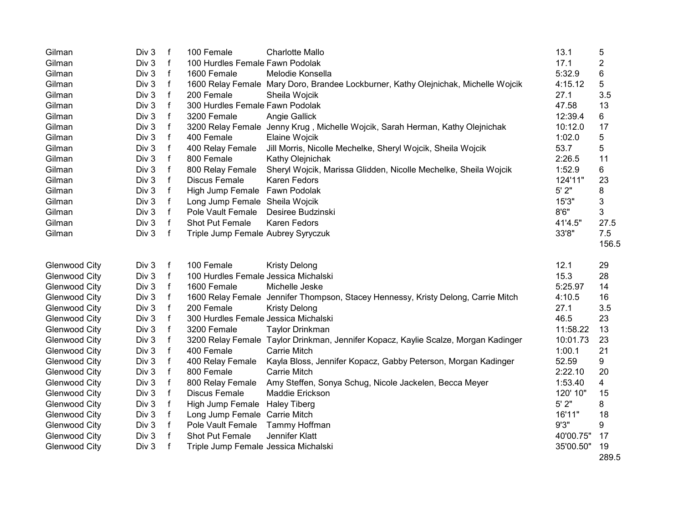| Div 3<br>100 Female<br>13.1<br>Gilman<br>f<br><b>Charlotte Mallo</b>                                                                       | 5     |
|--------------------------------------------------------------------------------------------------------------------------------------------|-------|
| Div 3<br>$\mathsf{f}$<br>17.1<br>Gilman<br>100 Hurdles Female Fawn Podolak                                                                 | 2     |
| $\mathsf f$<br>Div 3<br>5:32.9<br>1600 Female<br>Melodie Konsella<br>Gilman                                                                | 6     |
| $\mathsf f$<br>Div 3<br>4:15.12<br>Gilman<br>1600 Relay Female Mary Doro, Brandee Lockburner, Kathy Olejnichak, Michelle Wojcik            | 5     |
| $\mathsf{f}$<br>27.1<br>Div 3<br>200 Female<br>Gilman<br>Sheila Wojcik                                                                     | 3.5   |
| $\mathsf f$<br>47.58<br>Div 3<br>300 Hurdles Female Fawn Podolak<br>Gilman                                                                 | 13    |
| $\mathsf f$<br>12:39.4<br>Gilman<br>Div 3<br>3200 Female<br>Angie Gallick                                                                  | 6     |
| Div 3<br>f<br>10:12.0<br>Gilman<br>3200 Relay Female Jenny Krug, Michelle Wojcik, Sarah Herman, Kathy Olejnichak                           | 17    |
| Div 3<br>f<br>400 Female<br>1:02.0<br>Gilman<br><b>Elaine Wojcik</b>                                                                       | 5     |
| $\mathsf{f}$<br>Div 3<br>Jill Morris, Nicolle Mechelke, Sheryl Wojcik, Sheila Wojcik<br>53.7<br>Gilman<br>400 Relay Female                 | 5     |
| $\mathsf f$<br>Div 3<br>800 Female<br>2:26.5<br>Gilman<br>Kathy Olejnichak                                                                 | 11    |
| $\mathsf f$<br>1:52.9<br>Gilman<br>Div 3<br>800 Relay Female<br>Sheryl Wojcik, Marissa Glidden, Nicolle Mechelke, Sheila Wojcik            | 6     |
| f<br>124'11"<br>Gilman<br>Div 3<br>Discus Female<br>Karen Fedors                                                                           | 23    |
| 5'2"<br>Div 3<br>f<br>High Jump Female Fawn Podolak<br>Gilman                                                                              | 8     |
| 15'3"<br>Div 3<br>f<br>Gilman<br>Long Jump Female Sheila Wojcik                                                                            | 3     |
| $\mathsf f$<br>8'6''<br>Div 3<br>Pole Vault Female<br>Gilman<br>Desiree Budzinski                                                          | 3     |
| $\mathsf{f}$<br>Div 3<br>41'4.5"<br>Gilman<br>Shot Put Female<br>Karen Fedors                                                              | 27.5  |
| $\mathsf{f}$<br>33'8"<br>Div 3<br>Gilman<br>Triple Jump Female Aubrey Syryczuk                                                             | 7.5   |
|                                                                                                                                            | 156.5 |
| 100 Female<br><b>Glenwood City</b><br>Div 3<br>f<br><b>Kristy Delong</b><br>12.1                                                           | 29    |
| $\mathsf f$<br>15.3<br><b>Glenwood City</b><br>Div 3<br>100 Hurdles Female Jessica Michalski                                               | 28    |
| f<br>5:25.97<br><b>Glenwood City</b><br>Div 3<br>1600 Female<br>Michelle Jeske                                                             | 14    |
| $\mathsf{f}$<br>4:10.5<br>Glenwood City<br>Div 3<br>1600 Relay Female Jennifer Thompson, Stacey Hennessy, Kristy Delong, Carrie Mitch      | 16    |
| $\mathsf{f}$<br>Div 3<br>27.1<br>Glenwood City<br>200 Female<br><b>Kristy Delong</b>                                                       | 3.5   |
| $\mathsf f$<br>Div 3<br>46.5<br><b>Glenwood City</b><br>300 Hurdles Female Jessica Michalski                                               | 23    |
| Div 3<br>$\mathsf f$<br>11:58.22<br><b>Glenwood City</b><br>3200 Female<br><b>Taylor Drinkman</b>                                          | 13    |
| $\mathsf{f}$<br>Div 3<br>10:01.73<br>Glenwood City<br>3200 Relay Female Taylor Drinkman, Jennifer Kopacz, Kaylie Scalze, Morgan Kadinger   | 23    |
| $\mathsf{f}$<br>Div 3<br>400 Female<br><b>Carrie Mitch</b><br>1:00.1<br>Glenwood City                                                      | 21    |
| $\mathsf f$<br>52.59<br>Div 3<br><b>Glenwood City</b><br>400 Relay Female<br>Kayla Bloss, Jennifer Kopacz, Gabby Peterson, Morgan Kadinger | 9     |
| $\mathbf f$<br>2:22.10<br>Div 3<br>800 Female<br><b>Carrie Mitch</b><br>Glenwood City                                                      | 20    |
| $\mathsf f$<br>1:53.40<br><b>Glenwood City</b><br>Div 3<br>800 Relay Female<br>Amy Steffen, Sonya Schug, Nicole Jackelen, Becca Meyer      | 4     |
| Div 3<br>f<br>120' 10"<br>Glenwood City<br><b>Discus Female</b><br>Maddie Erickson                                                         | 15    |
| 5'2"<br>Div 3<br>f<br>Glenwood City<br>High Jump Female<br><b>Haley Tiberg</b>                                                             | 8     |
| Div 3<br>f<br>Long Jump Female Carrie Mitch<br>16'11"<br><b>Glenwood City</b>                                                              | 18    |
| $\mathsf f$<br>9'3''<br><b>Glenwood City</b><br>Div 3<br>Pole Vault Female<br>Tammy Hoffman                                                | 9     |
| $\mathsf f$<br>Jennifer Klatt<br>40'00.75"<br><b>Glenwood City</b><br>Div 3<br>Shot Put Female                                             | 17    |
|                                                                                                                                            |       |
| Div 3<br>f<br>35'00.50"<br><b>Glenwood City</b><br>Triple Jump Female Jessica Michalski                                                    | 19    |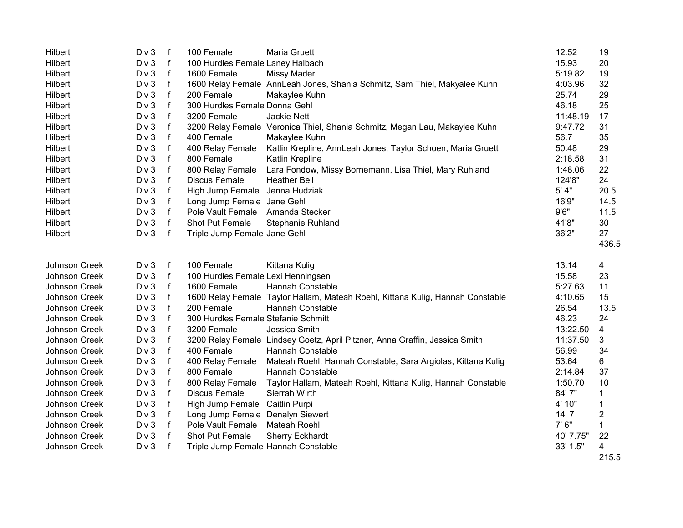| Div 3<br>$\mathsf{f}$<br>15.93<br>Hilbert<br>100 Hurdles Female Laney Halbach<br>20<br>$\mathsf{f}$<br>Div 3<br>1600 Female<br>5:19.82<br>19<br>Hilbert<br><b>Missy Mader</b><br>$\mathsf{f}$<br>Div 3<br>1600 Relay Female AnnLeah Jones, Shania Schmitz, Sam Thiel, Makyalee Kuhn<br>4:03.96<br>32<br>Hilbert<br>$\mathsf f$<br>Div 3<br>200 Female<br>25.74<br>29<br>Hilbert<br>Makaylee Kuhn<br>$\mathsf f$<br>Div 3<br>25<br>300 Hurdles Female Donna Gehl<br>46.18<br>Hilbert<br>$\mathsf{f}$<br>Div 3<br>11:48.19<br>Hilbert<br>3200 Female<br>Jackie Nett<br>17<br>Div 3<br>$\mathsf f$<br>9:47.72<br>Hilbert<br>3200 Relay Female Veronica Thiel, Shania Schmitz, Megan Lau, Makaylee Kuhn<br>31<br>Div 3<br>f<br>400 Female<br>56.7<br>35<br>Hilbert<br>Makaylee Kuhn<br>Hilbert<br>Div 3<br>f<br>Katlin Krepline, AnnLeah Jones, Taylor Schoen, Maria Gruett<br>50.48<br>29<br>400 Relay Female<br>$\mathsf{f}$<br>2:18.58<br>Hilbert<br>Div 3<br>800 Female<br>Katlin Krepline<br>31<br>$\mathsf{f}$<br>Div 3<br>22<br>Hilbert<br>800 Relay Female<br>Lara Fondow, Missy Bornemann, Lisa Thiel, Mary Ruhland<br>1:48.06<br>$\mathsf{f}$<br>124'8"<br>Div 3<br><b>Discus Female</b><br>24<br>Hilbert<br><b>Heather Beil</b><br>$\mathsf{f}$<br>Jenna Hudziak<br>5' 4"<br>Div 3<br>High Jump Female<br>20.5<br>Hilbert<br>$\mathsf{f}$<br>16'9"<br>Hilbert<br>Div 3<br>Long Jump Female Jane Gehl<br>14.5<br>$\mathsf{f}$<br>9'6''<br>Div 3<br>11.5<br>Hilbert<br>Pole Vault Female<br>Amanda Stecker<br>$\mathsf{f}$<br>Div 3<br>Shot Put Female<br>41'8"<br>30<br>Hilbert<br>Stephanie Ruhland<br>36'2"<br>Div 3<br>$\mathsf{f}$<br>27<br>Hilbert<br>Triple Jump Female Jane Gehl<br>436.5 | Hilbert | Div 3 | $\mathsf{f}$ | 100 Female | Maria Gruett | 12.52 | 19 |
|--------------------------------------------------------------------------------------------------------------------------------------------------------------------------------------------------------------------------------------------------------------------------------------------------------------------------------------------------------------------------------------------------------------------------------------------------------------------------------------------------------------------------------------------------------------------------------------------------------------------------------------------------------------------------------------------------------------------------------------------------------------------------------------------------------------------------------------------------------------------------------------------------------------------------------------------------------------------------------------------------------------------------------------------------------------------------------------------------------------------------------------------------------------------------------------------------------------------------------------------------------------------------------------------------------------------------------------------------------------------------------------------------------------------------------------------------------------------------------------------------------------------------------------------------------------------------------------------------------------------------------------------------------------------------------------------------------|---------|-------|--------------|------------|--------------|-------|----|
|                                                                                                                                                                                                                                                                                                                                                                                                                                                                                                                                                                                                                                                                                                                                                                                                                                                                                                                                                                                                                                                                                                                                                                                                                                                                                                                                                                                                                                                                                                                                                                                                                                                                                                        |         |       |              |            |              |       |    |
|                                                                                                                                                                                                                                                                                                                                                                                                                                                                                                                                                                                                                                                                                                                                                                                                                                                                                                                                                                                                                                                                                                                                                                                                                                                                                                                                                                                                                                                                                                                                                                                                                                                                                                        |         |       |              |            |              |       |    |
|                                                                                                                                                                                                                                                                                                                                                                                                                                                                                                                                                                                                                                                                                                                                                                                                                                                                                                                                                                                                                                                                                                                                                                                                                                                                                                                                                                                                                                                                                                                                                                                                                                                                                                        |         |       |              |            |              |       |    |
|                                                                                                                                                                                                                                                                                                                                                                                                                                                                                                                                                                                                                                                                                                                                                                                                                                                                                                                                                                                                                                                                                                                                                                                                                                                                                                                                                                                                                                                                                                                                                                                                                                                                                                        |         |       |              |            |              |       |    |
|                                                                                                                                                                                                                                                                                                                                                                                                                                                                                                                                                                                                                                                                                                                                                                                                                                                                                                                                                                                                                                                                                                                                                                                                                                                                                                                                                                                                                                                                                                                                                                                                                                                                                                        |         |       |              |            |              |       |    |
|                                                                                                                                                                                                                                                                                                                                                                                                                                                                                                                                                                                                                                                                                                                                                                                                                                                                                                                                                                                                                                                                                                                                                                                                                                                                                                                                                                                                                                                                                                                                                                                                                                                                                                        |         |       |              |            |              |       |    |
|                                                                                                                                                                                                                                                                                                                                                                                                                                                                                                                                                                                                                                                                                                                                                                                                                                                                                                                                                                                                                                                                                                                                                                                                                                                                                                                                                                                                                                                                                                                                                                                                                                                                                                        |         |       |              |            |              |       |    |
|                                                                                                                                                                                                                                                                                                                                                                                                                                                                                                                                                                                                                                                                                                                                                                                                                                                                                                                                                                                                                                                                                                                                                                                                                                                                                                                                                                                                                                                                                                                                                                                                                                                                                                        |         |       |              |            |              |       |    |
|                                                                                                                                                                                                                                                                                                                                                                                                                                                                                                                                                                                                                                                                                                                                                                                                                                                                                                                                                                                                                                                                                                                                                                                                                                                                                                                                                                                                                                                                                                                                                                                                                                                                                                        |         |       |              |            |              |       |    |
|                                                                                                                                                                                                                                                                                                                                                                                                                                                                                                                                                                                                                                                                                                                                                                                                                                                                                                                                                                                                                                                                                                                                                                                                                                                                                                                                                                                                                                                                                                                                                                                                                                                                                                        |         |       |              |            |              |       |    |
|                                                                                                                                                                                                                                                                                                                                                                                                                                                                                                                                                                                                                                                                                                                                                                                                                                                                                                                                                                                                                                                                                                                                                                                                                                                                                                                                                                                                                                                                                                                                                                                                                                                                                                        |         |       |              |            |              |       |    |
|                                                                                                                                                                                                                                                                                                                                                                                                                                                                                                                                                                                                                                                                                                                                                                                                                                                                                                                                                                                                                                                                                                                                                                                                                                                                                                                                                                                                                                                                                                                                                                                                                                                                                                        |         |       |              |            |              |       |    |
|                                                                                                                                                                                                                                                                                                                                                                                                                                                                                                                                                                                                                                                                                                                                                                                                                                                                                                                                                                                                                                                                                                                                                                                                                                                                                                                                                                                                                                                                                                                                                                                                                                                                                                        |         |       |              |            |              |       |    |
|                                                                                                                                                                                                                                                                                                                                                                                                                                                                                                                                                                                                                                                                                                                                                                                                                                                                                                                                                                                                                                                                                                                                                                                                                                                                                                                                                                                                                                                                                                                                                                                                                                                                                                        |         |       |              |            |              |       |    |
|                                                                                                                                                                                                                                                                                                                                                                                                                                                                                                                                                                                                                                                                                                                                                                                                                                                                                                                                                                                                                                                                                                                                                                                                                                                                                                                                                                                                                                                                                                                                                                                                                                                                                                        |         |       |              |            |              |       |    |
|                                                                                                                                                                                                                                                                                                                                                                                                                                                                                                                                                                                                                                                                                                                                                                                                                                                                                                                                                                                                                                                                                                                                                                                                                                                                                                                                                                                                                                                                                                                                                                                                                                                                                                        |         |       |              |            |              |       |    |
|                                                                                                                                                                                                                                                                                                                                                                                                                                                                                                                                                                                                                                                                                                                                                                                                                                                                                                                                                                                                                                                                                                                                                                                                                                                                                                                                                                                                                                                                                                                                                                                                                                                                                                        |         |       |              |            |              |       |    |
|                                                                                                                                                                                                                                                                                                                                                                                                                                                                                                                                                                                                                                                                                                                                                                                                                                                                                                                                                                                                                                                                                                                                                                                                                                                                                                                                                                                                                                                                                                                                                                                                                                                                                                        |         |       |              |            |              |       |    |
| Johnson Creek<br>Div 3<br>$\mathsf{f}$<br>100 Female<br>Kittana Kulig<br>13.14<br>4                                                                                                                                                                                                                                                                                                                                                                                                                                                                                                                                                                                                                                                                                                                                                                                                                                                                                                                                                                                                                                                                                                                                                                                                                                                                                                                                                                                                                                                                                                                                                                                                                    |         |       |              |            |              |       |    |
| <b>Johnson Creek</b><br>Div 3<br>$\mathsf{f}$<br>100 Hurdles Female Lexi Henningsen<br>15.58<br>23                                                                                                                                                                                                                                                                                                                                                                                                                                                                                                                                                                                                                                                                                                                                                                                                                                                                                                                                                                                                                                                                                                                                                                                                                                                                                                                                                                                                                                                                                                                                                                                                     |         |       |              |            |              |       |    |
| $\mathsf{f}$<br>Div 3<br>1600 Female<br><b>Hannah Constable</b><br>5:27.63<br>11<br>Johnson Creek                                                                                                                                                                                                                                                                                                                                                                                                                                                                                                                                                                                                                                                                                                                                                                                                                                                                                                                                                                                                                                                                                                                                                                                                                                                                                                                                                                                                                                                                                                                                                                                                      |         |       |              |            |              |       |    |
| $\mathsf f$<br>15<br>Div 3<br>1600 Relay Female Taylor Hallam, Mateah Roehl, Kittana Kulig, Hannah Constable<br>4:10.65<br>Johnson Creek                                                                                                                                                                                                                                                                                                                                                                                                                                                                                                                                                                                                                                                                                                                                                                                                                                                                                                                                                                                                                                                                                                                                                                                                                                                                                                                                                                                                                                                                                                                                                               |         |       |              |            |              |       |    |
| $\mathsf{f}$<br>Div 3<br>26.54<br>13.5<br>Johnson Creek<br>200 Female<br><b>Hannah Constable</b>                                                                                                                                                                                                                                                                                                                                                                                                                                                                                                                                                                                                                                                                                                                                                                                                                                                                                                                                                                                                                                                                                                                                                                                                                                                                                                                                                                                                                                                                                                                                                                                                       |         |       |              |            |              |       |    |
| $\mathsf{f}$<br>Div 3<br>300 Hurdles Female Stefanie Schmitt<br>46.23<br>Johnson Creek<br>24                                                                                                                                                                                                                                                                                                                                                                                                                                                                                                                                                                                                                                                                                                                                                                                                                                                                                                                                                                                                                                                                                                                                                                                                                                                                                                                                                                                                                                                                                                                                                                                                           |         |       |              |            |              |       |    |
| $\mathsf f$<br>13:22.50<br>Div 3<br>4<br>Johnson Creek<br>3200 Female<br>Jessica Smith                                                                                                                                                                                                                                                                                                                                                                                                                                                                                                                                                                                                                                                                                                                                                                                                                                                                                                                                                                                                                                                                                                                                                                                                                                                                                                                                                                                                                                                                                                                                                                                                                 |         |       |              |            |              |       |    |
| $\mathsf f$<br>11:37.50<br>Johnson Creek<br>Div 3<br>3200 Relay Female Lindsey Goetz, April Pitzner, Anna Graffin, Jessica Smith<br>3                                                                                                                                                                                                                                                                                                                                                                                                                                                                                                                                                                                                                                                                                                                                                                                                                                                                                                                                                                                                                                                                                                                                                                                                                                                                                                                                                                                                                                                                                                                                                                  |         |       |              |            |              |       |    |
| $\mathsf f$<br>56.99<br>34<br>Johnson Creek<br>Div 3<br>400 Female<br>Hannah Constable                                                                                                                                                                                                                                                                                                                                                                                                                                                                                                                                                                                                                                                                                                                                                                                                                                                                                                                                                                                                                                                                                                                                                                                                                                                                                                                                                                                                                                                                                                                                                                                                                 |         |       |              |            |              |       |    |
| $\mathsf f$<br>Div 3<br>53.64<br>6<br>Johnson Creek<br>400 Relay Female<br>Mateah Roehl, Hannah Constable, Sara Argiolas, Kittana Kulig                                                                                                                                                                                                                                                                                                                                                                                                                                                                                                                                                                                                                                                                                                                                                                                                                                                                                                                                                                                                                                                                                                                                                                                                                                                                                                                                                                                                                                                                                                                                                                |         |       |              |            |              |       |    |
| $\mathsf f$<br>Div 3<br>800 Female<br><b>Hannah Constable</b><br>2:14.84<br>37<br>Johnson Creek                                                                                                                                                                                                                                                                                                                                                                                                                                                                                                                                                                                                                                                                                                                                                                                                                                                                                                                                                                                                                                                                                                                                                                                                                                                                                                                                                                                                                                                                                                                                                                                                        |         |       |              |            |              |       |    |
| $\mathsf f$<br>Johnson Creek<br>Div 3<br>1:50.70<br>10<br>800 Relay Female<br>Taylor Hallam, Mateah Roehl, Kittana Kulig, Hannah Constable                                                                                                                                                                                                                                                                                                                                                                                                                                                                                                                                                                                                                                                                                                                                                                                                                                                                                                                                                                                                                                                                                                                                                                                                                                                                                                                                                                                                                                                                                                                                                             |         |       |              |            |              |       |    |
| $\mathsf f$<br>84' 7"<br>Johnson Creek<br>Div 3<br>Discus Female<br>Sierrah Wirth<br>$\mathbf 1$                                                                                                                                                                                                                                                                                                                                                                                                                                                                                                                                                                                                                                                                                                                                                                                                                                                                                                                                                                                                                                                                                                                                                                                                                                                                                                                                                                                                                                                                                                                                                                                                       |         |       |              |            |              |       |    |
| Div 3<br>f<br>Caitlin Purpi<br>4' 10"<br>Johnson Creek<br>High Jump Female<br>1                                                                                                                                                                                                                                                                                                                                                                                                                                                                                                                                                                                                                                                                                                                                                                                                                                                                                                                                                                                                                                                                                                                                                                                                                                                                                                                                                                                                                                                                                                                                                                                                                        |         |       |              |            |              |       |    |
| $\overline{2}$<br>Div 3<br>f<br>Long Jump Female Denalyn Siewert<br>14'7<br>Johnson Creek                                                                                                                                                                                                                                                                                                                                                                                                                                                                                                                                                                                                                                                                                                                                                                                                                                                                                                                                                                                                                                                                                                                                                                                                                                                                                                                                                                                                                                                                                                                                                                                                              |         |       |              |            |              |       |    |
| 7'6''<br>$\mathsf{f}$<br>$\mathbf{1}$<br>Div 3<br>Pole Vault Female<br>Mateah Roehl<br>Johnson Creek                                                                                                                                                                                                                                                                                                                                                                                                                                                                                                                                                                                                                                                                                                                                                                                                                                                                                                                                                                                                                                                                                                                                                                                                                                                                                                                                                                                                                                                                                                                                                                                                   |         |       |              |            |              |       |    |
| $\mathsf f$<br>40' 7.75"<br>22<br>Johnson Creek<br>Div 3<br>Shot Put Female<br><b>Sherry Eckhardt</b>                                                                                                                                                                                                                                                                                                                                                                                                                                                                                                                                                                                                                                                                                                                                                                                                                                                                                                                                                                                                                                                                                                                                                                                                                                                                                                                                                                                                                                                                                                                                                                                                  |         |       |              |            |              |       |    |
| Div 3<br>$\mathbf f$<br>33' 1.5"<br>4<br>Johnson Creek<br>Triple Jump Female Hannah Constable                                                                                                                                                                                                                                                                                                                                                                                                                                                                                                                                                                                                                                                                                                                                                                                                                                                                                                                                                                                                                                                                                                                                                                                                                                                                                                                                                                                                                                                                                                                                                                                                          |         |       |              |            |              |       |    |
| 215.5                                                                                                                                                                                                                                                                                                                                                                                                                                                                                                                                                                                                                                                                                                                                                                                                                                                                                                                                                                                                                                                                                                                                                                                                                                                                                                                                                                                                                                                                                                                                                                                                                                                                                                  |         |       |              |            |              |       |    |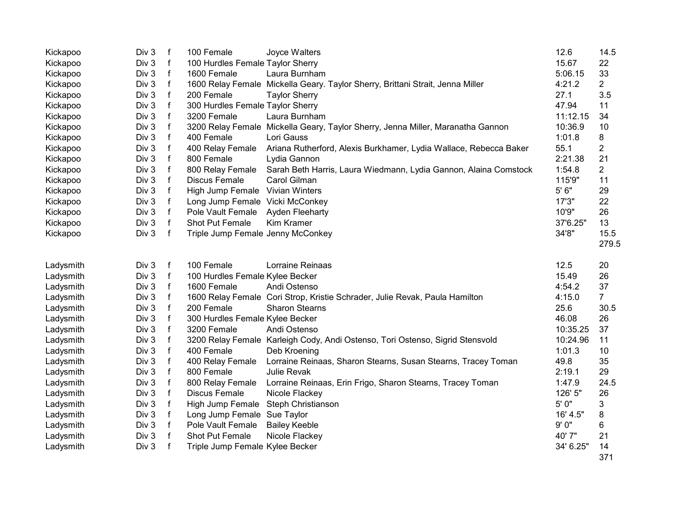| Kickapoo  | Div 3            | $\mathsf{f}$ | 100 Female<br>Joyce Walters                 |                                                                                 | 12.6      | 14.5           |
|-----------|------------------|--------------|---------------------------------------------|---------------------------------------------------------------------------------|-----------|----------------|
| Kickapoo  | Div 3            | $\mathsf{f}$ | 100 Hurdles Female Taylor Sherry            |                                                                                 | 15.67     | 22             |
| Kickapoo  | Div 3            | $\mathsf{f}$ | 1600 Female<br>Laura Burnham                |                                                                                 | 5:06.15   | 33             |
| Kickapoo  | Div 3            | $\mathsf{f}$ |                                             | 1600 Relay Female Mickella Geary. Taylor Sherry, Brittani Strait, Jenna Miller  | 4:21.2    | $\overline{2}$ |
| Kickapoo  | Div 3            | $\mathsf f$  | 200 Female<br><b>Taylor Sherry</b>          |                                                                                 | 27.1      | 3.5            |
| Kickapoo  | Div 3            | $\mathsf{f}$ | 300 Hurdles Female Taylor Sherry            |                                                                                 | 47.94     | 11             |
| Kickapoo  | Div <sub>3</sub> | f            | 3200 Female<br>Laura Burnham                |                                                                                 | 11:12.15  | 34             |
| Kickapoo  | Div <sub>3</sub> | f            |                                             | 3200 Relay Female Mickella Geary, Taylor Sherry, Jenna Miller, Maranatha Gannon | 10:36.9   | 10             |
| Kickapoo  | Div 3            | $\mathsf f$  | 400 Female<br>Lori Gauss                    |                                                                                 | 1:01.8    | 8              |
| Kickapoo  | Div 3            | $\mathsf f$  | 400 Relay Female                            | Ariana Rutherford, Alexis Burkhamer, Lydia Wallace, Rebecca Baker               | 55.1      | 2              |
| Kickapoo  | Div 3            | f            | 800 Female<br>Lydia Gannon                  |                                                                                 | 2:21.38   | 21             |
| Kickapoo  | Div 3            | f            | 800 Relay Female                            | Sarah Beth Harris, Laura Wiedmann, Lydia Gannon, Alaina Comstock                | 1:54.8    | $\overline{2}$ |
| Kickapoo  | Div 3            | $\mathsf f$  | Discus Female<br>Carol Gilman               |                                                                                 | 115'9"    | 11             |
| Kickapoo  | Div 3            | $\mathsf{f}$ | High Jump Female Vivian Winters             |                                                                                 | $5'6"$    | 29             |
| Kickapoo  | Div 3            | $\mathsf f$  | Long Jump Female Vicki McConkey             |                                                                                 | 17'3"     | 22             |
| Kickapoo  | Div 3            | $\mathsf{f}$ | Pole Vault Female<br><b>Ayden Fleeharty</b> |                                                                                 | 10'9"     | 26             |
| Kickapoo  | Div 3            | $\mathsf{f}$ | Shot Put Female<br>Kim Kramer               |                                                                                 | 37'6.25"  | 13             |
| Kickapoo  | Div 3            | $\mathbf{f}$ | Triple Jump Female Jenny McConkey           |                                                                                 | 34'8"     | 15.5           |
|           |                  |              |                                             |                                                                                 |           | 279.5          |
|           |                  |              |                                             |                                                                                 |           |                |
| Ladysmith | Div 3            | $\mathsf f$  | 100 Female                                  | Lorraine Reinaas                                                                | 12.5      | 20             |
| Ladysmith | Div 3            | $\mathsf{f}$ | 100 Hurdles Female Kylee Becker             |                                                                                 | 15.49     | 26             |
| Ladysmith | Div <sub>3</sub> | $\mathsf f$  | 1600 Female<br>Andi Ostenso                 |                                                                                 | 4:54.2    | 37             |
| Ladysmith | Div 3            | $\mathsf{f}$ |                                             | 1600 Relay Female Cori Strop, Kristie Schrader, Julie Revak, Paula Hamilton     | 4:15.0    | $\overline{7}$ |
| Ladysmith | Div 3            | $\mathsf{f}$ | 200 Female<br><b>Sharon Stearns</b>         |                                                                                 | 25.6      | 30.5           |
| Ladysmith | Div 3            | $\mathsf{f}$ | 300 Hurdles Female Kylee Becker             |                                                                                 | 46.08     | 26             |
| Ladysmith | Div 3            | $\mathsf{f}$ | 3200 Female<br>Andi Ostenso                 |                                                                                 | 10:35.25  | 37             |
| Ladysmith | Div 3            | $\mathsf{f}$ |                                             | 3200 Relay Female Karleigh Cody, Andi Ostenso, Tori Ostenso, Sigrid Stensvold   | 10:24.96  | 11             |
| Ladysmith | Div 3            | $\mathsf{f}$ | 400 Female<br>Deb Kroening                  |                                                                                 | 1:01.3    | 10             |
| Ladysmith | Div 3            | $\mathsf{f}$ | 400 Relay Female                            | Lorraine Reinaas, Sharon Stearns, Susan Stearns, Tracey Toman                   | 49.8      | 35             |
| Ladysmith | Div <sub>3</sub> | $\mathsf{f}$ | 800 Female<br>Julie Revak                   |                                                                                 | 2:19.1    | 29             |
| Ladysmith | Div 3            | f            | 800 Relay Female                            | Lorraine Reinaas, Erin Frigo, Sharon Stearns, Tracey Toman                      | 1:47.9    | 24.5           |
| Ladysmith | Div 3            | $\mathsf f$  | Discus Female<br>Nicole Flackey             |                                                                                 | 126' 5"   | 26             |
| Ladysmith | Div 3            | $\mathsf{f}$ | High Jump Female Steph Christianson         |                                                                                 | 5' 0"     | 3              |
| Ladysmith | Div <sub>3</sub> | $\mathsf f$  | Long Jump Female Sue Taylor                 |                                                                                 | 16' 4.5"  | 8              |
| Ladysmith | Div 3            | $\mathsf f$  | Pole Vault Female<br><b>Bailey Keeble</b>   |                                                                                 | 9'0"      | 6              |
| Ladysmith | Div 3            | $\mathsf{f}$ | Shot Put Female<br>Nicole Flackey           |                                                                                 | 40' 7"    | 21             |
| Ladysmith | Div 3            | $\mathsf{f}$ | Triple Jump Female Kylee Becker             |                                                                                 | 34' 6.25" | 14             |
|           |                  |              |                                             |                                                                                 |           | 371            |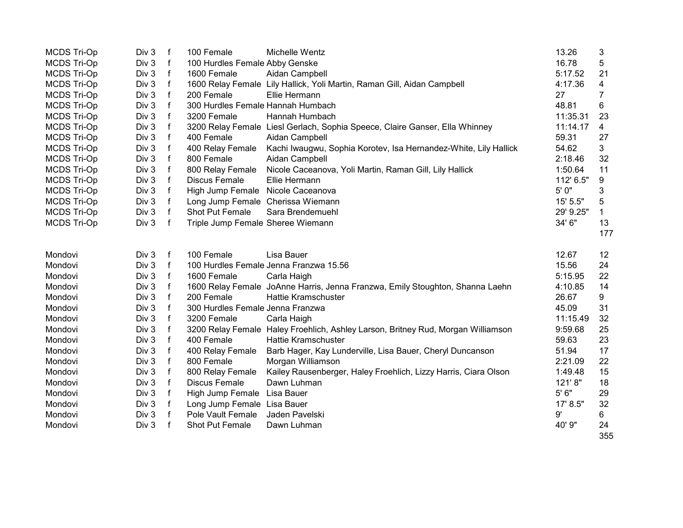| <b>MCDS Tri-Op</b> | Div 3 | $\mathbf{f}$ | 100 Female                        | Michelle Wentz                                                                   | 13.26     | 3   |
|--------------------|-------|--------------|-----------------------------------|----------------------------------------------------------------------------------|-----------|-----|
| MCDS Tri-Op        | Div 3 | f            | 100 Hurdles Female Abby Genske    |                                                                                  | 16.78     | 5   |
| MCDS Tri-Op        | Div 3 | f            | 1600 Female                       | Aidan Campbell                                                                   | 5:17.52   | 21  |
| <b>MCDS Tri-Op</b> | Div 3 | f            |                                   | 1600 Relay Female Lily Hallick, Yoli Martin, Raman Gill, Aidan Campbell          | 4:17.36   | 4   |
| <b>MCDS Tri-Op</b> | Div 3 | $\mathsf{f}$ | 200 Female                        | Ellie Hermann                                                                    | 27        | 7   |
| <b>MCDS Tri-Op</b> | Div 3 | f            | 300 Hurdles Female Hannah Humbach |                                                                                  | 48.81     | 6   |
| MCDS Tri-Op        | Div 3 | f            | 3200 Female                       | Hannah Humbach                                                                   | 11:35.31  | 23  |
| <b>MCDS Tri-Op</b> | Div 3 | $\mathsf{f}$ |                                   | 3200 Relay Female Liesl Gerlach, Sophia Speece, Claire Ganser, Ella Whinney      | 11:14.17  | 4   |
| <b>MCDS Tri-Op</b> | Div 3 | $\mathsf{f}$ | 400 Female                        | Aidan Campbell                                                                   | 59.31     | 27  |
| MCDS Tri-Op        | Div 3 | $\mathsf{f}$ | 400 Relay Female                  | Kachi Iwaugwu, Sophia Korotev, Isa Hernandez-White, Lily Hallick                 | 54.62     | 3   |
| MCDS Tri-Op        | Div 3 | $\mathsf{f}$ | 800 Female                        | Aidan Campbell                                                                   | 2:18.46   | 32  |
| <b>MCDS Tri-Op</b> | Div 3 | $\mathsf{f}$ | 800 Relay Female                  | Nicole Caceanova, Yoli Martin, Raman Gill, Lily Hallick                          | 1:50.64   | 11  |
| <b>MCDS Tri-Op</b> | Div 3 | $\mathsf{f}$ | Discus Female                     | Ellie Hermann                                                                    | 112' 6.5" | 9   |
| <b>MCDS Tri-Op</b> | Div 3 | f            | High Jump Female Nicole Caceanova |                                                                                  | 5' 0"     | 3   |
| <b>MCDS Tri-Op</b> | Div 3 | f            | Long Jump Female Cherissa Wiemann |                                                                                  | 15' 5.5"  | 5   |
| <b>MCDS Tri-Op</b> | Div 3 | f            | Shot Put Female                   | Sara Brendemuehl                                                                 | 29' 9.25" | 1   |
| <b>MCDS Tri-Op</b> | Div 3 | f            | Triple Jump Female Sheree Wiemann |                                                                                  | 34' 6"    | 13  |
|                    |       |              |                                   |                                                                                  |           | 177 |
|                    |       |              |                                   |                                                                                  |           |     |
| Mondovi            | Div 3 | f            | 100 Female                        | Lisa Bauer                                                                       | 12.67     | 12  |
| Mondovi            | Div 3 | f            |                                   | 100 Hurdles Female Jenna Franzwa 15.56                                           | 15.56     | 24  |
| Mondovi            | Div 3 | f            | 1600 Female                       | Carla Haigh                                                                      | 5:15.95   | 22  |
| Mondovi            | Div 3 | f            |                                   | 1600 Relay Female JoAnne Harris, Jenna Franzwa, Emily Stoughton, Shanna Laehn    | 4:10.85   | 14  |
| Mondovi            | Div 3 | f            | 200 Female                        | Hattie Kramschuster                                                              | 26.67     | 9   |
| Mondovi            | Div 3 | $\mathsf{f}$ | 300 Hurdles Female Jenna Franzwa  |                                                                                  | 45.09     | 31  |
| Mondovi            | Div 3 | $\mathsf{f}$ | 3200 Female                       | Carla Haigh                                                                      | 11:15.49  | 32  |
| Mondovi            | Div 3 | $\mathsf f$  |                                   | 3200 Relay Female Haley Froehlich, Ashley Larson, Britney Rud, Morgan Williamson | 9:59.68   | 25  |
| Mondovi            | Div 3 | f            | 400 Female                        | <b>Hattie Kramschuster</b>                                                       | 59.63     | 23  |
| Mondovi            | Div 3 | $\mathsf{f}$ | 400 Relay Female                  | Barb Hager, Kay Lunderville, Lisa Bauer, Cheryl Duncanson                        | 51.94     | 17  |
| Mondovi            | Div 3 | f            | 800 Female                        | Morgan Williamson                                                                | 2:21.09   | 22  |
| Mondovi            | Div 3 | $\mathsf{f}$ | 800 Relay Female                  | Kailey Rausenberger, Haley Froehlich, Lizzy Harris, Ciara Olson                  | 1:49.48   | 15  |
| Mondovi            | Div 3 | f            | Discus Female                     | Dawn Luhman                                                                      | 121'8"    | 18  |
| Mondovi            | Div 3 | f            | High Jump Female Lisa Bauer       |                                                                                  | $5'6"$    | 29  |
| Mondovi            | Div 3 | f            | Long Jump Female Lisa Bauer       |                                                                                  | 17' 8.5"  | 32  |
| Mondovi            | Div 3 | f            | Pole Vault Female                 | Jaden Pavelski                                                                   | 9'        | 6   |
| Mondovi            | Div 3 | f            | Shot Put Female                   | Dawn Luhman                                                                      | 40' 9"    | 24  |
|                    |       |              |                                   |                                                                                  |           | 355 |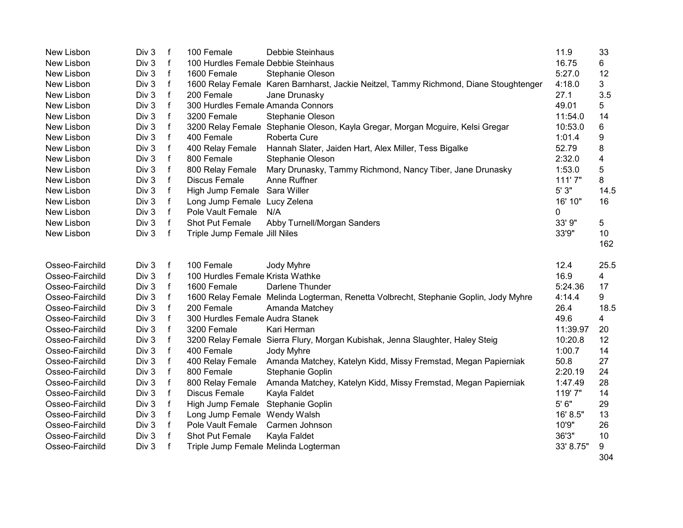| New Lisbon      | Div 3            | f            | 100 Female                           | Debbie Steinhaus                                                                      | 11.9      | 33   |
|-----------------|------------------|--------------|--------------------------------------|---------------------------------------------------------------------------------------|-----------|------|
| New Lisbon      | Div 3            | $\mathsf f$  | 100 Hurdles Female Debbie Steinhaus  |                                                                                       | 16.75     | 6    |
| New Lisbon      | Div 3            | $\mathsf f$  | 1600 Female                          | Stephanie Oleson                                                                      | 5:27.0    | 12   |
| New Lisbon      | Div 3            | $\mathsf f$  |                                      | 1600 Relay Female Karen Barnharst, Jackie Neitzel, Tammy Richmond, Diane Stoughtenger | 4:18.0    | 3    |
| New Lisbon      | Div <sub>3</sub> | f            | 200 Female                           | Jane Drunasky                                                                         | 27.1      | 3.5  |
| New Lisbon      | Div <sub>3</sub> | f            | 300 Hurdles Female Amanda Connors    |                                                                                       | 49.01     | 5    |
| New Lisbon      | Div 3            | $\mathsf f$  | 3200 Female                          | Stephanie Oleson                                                                      | 11:54.0   | 14   |
| New Lisbon      | Div 3            | f            |                                      | 3200 Relay Female Stephanie Oleson, Kayla Gregar, Morgan Mcguire, Kelsi Gregar        | 10:53.0   | 6    |
| New Lisbon      | Div 3            | $\mathsf f$  | 400 Female                           | Roberta Cure                                                                          | 1:01.4    | 9    |
| New Lisbon      | Div 3            | f            | 400 Relay Female                     | Hannah Slater, Jaiden Hart, Alex Miller, Tess Bigalke                                 | 52.79     | 8    |
| New Lisbon      | Div <sub>3</sub> | $\mathsf{f}$ | 800 Female                           | Stephanie Oleson                                                                      | 2:32.0    | 4    |
| New Lisbon      | Div <sub>3</sub> | $\mathsf{f}$ | 800 Relay Female                     | Mary Drunasky, Tammy Richmond, Nancy Tiber, Jane Drunasky                             | 1:53.0    | 5    |
| New Lisbon      | Div 3            | f            | <b>Discus Female</b>                 | Anne Ruffner                                                                          | 111'7"    | 8    |
| New Lisbon      | Div 3            | f            | High Jump Female Sara Willer         |                                                                                       | 5'3"      | 14.5 |
| New Lisbon      | Div <sub>3</sub> | f            | Long Jump Female Lucy Zelena         |                                                                                       | 16' 10"   | 16   |
| New Lisbon      | Div <sub>3</sub> | f            | Pole Vault Female                    | N/A                                                                                   | 0         |      |
| New Lisbon      | Div 3            | f            | Shot Put Female                      | Abby Turnell/Morgan Sanders                                                           | 33' 9"    | 5    |
| New Lisbon      | Div 3            | $\mathsf{f}$ | Triple Jump Female Jill Niles        |                                                                                       | 33'9"     | 10   |
|                 |                  |              |                                      |                                                                                       |           | 162  |
| Osseo-Fairchild | Div 3            | f            | 100 Female                           | Jody Myhre                                                                            | 12.4      | 25.5 |
| Osseo-Fairchild | Div 3            | f            | 100 Hurdles Female Krista Wathke     |                                                                                       | 16.9      | 4    |
| Osseo-Fairchild | Div 3            | f            | 1600 Female                          | Darlene Thunder                                                                       | 5:24.36   | 17   |
| Osseo-Fairchild | Div 3            | $\mathsf f$  |                                      | 1600 Relay Female Melinda Logterman, Renetta Volbrecht, Stephanie Goplin, Jody Myhre  | 4:14.4    | 9    |
| Osseo-Fairchild | Div 3            | $\mathsf f$  | 200 Female                           | Amanda Matchey                                                                        | 26.4      | 18.5 |
| Osseo-Fairchild | Div 3            | f            | 300 Hurdles Female Audra Stanek      |                                                                                       | 49.6      | 4    |
| Osseo-Fairchild | Div 3            | f            | 3200 Female                          | Kari Herman                                                                           | 11:39.97  | 20   |
| Osseo-Fairchild | Div 3            | f            |                                      | 3200 Relay Female Sierra Flury, Morgan Kubishak, Jenna Slaughter, Haley Steig         | 10:20.8   | 12   |
| Osseo-Fairchild | Div 3            | f            | 400 Female                           | Jody Myhre                                                                            | 1:00.7    | 14   |
| Osseo-Fairchild | Div 3            | $\mathsf f$  | 400 Relay Female                     | Amanda Matchey, Katelyn Kidd, Missy Fremstad, Megan Papierniak                        | 50.8      | 27   |
| Osseo-Fairchild | Div 3            | $\mathsf f$  | 800 Female                           | Stephanie Goplin                                                                      | 2:20.19   | 24   |
| Osseo-Fairchild | Div 3            | f            | 800 Relay Female                     | Amanda Matchey, Katelyn Kidd, Missy Fremstad, Megan Papierniak                        | 1:47.49   | 28   |
| Osseo-Fairchild | Div 3            | f            | Discus Female                        | Kayla Faldet                                                                          | 119'7"    | 14   |
| Osseo-Fairchild | Div <sub>3</sub> | f            | High Jump Female Stephanie Goplin    |                                                                                       | 5'6''     | 29   |
| Osseo-Fairchild |                  |              |                                      |                                                                                       |           |      |
|                 | Div 3            | f            | Long Jump Female Wendy Walsh         |                                                                                       | 16' 8.5"  | 13   |
| Osseo-Fairchild | Div 3            | $\mathsf f$  | Pole Vault Female                    | Carmen Johnson                                                                        | 10'9"     | 26   |
| Osseo-Fairchild | Div 3            | f            | Shot Put Female                      | Kayla Faldet                                                                          | 36'3"     | 10   |
| Osseo-Fairchild | Div 3            | f            | Triple Jump Female Melinda Logterman |                                                                                       | 33' 8.75" | 9    |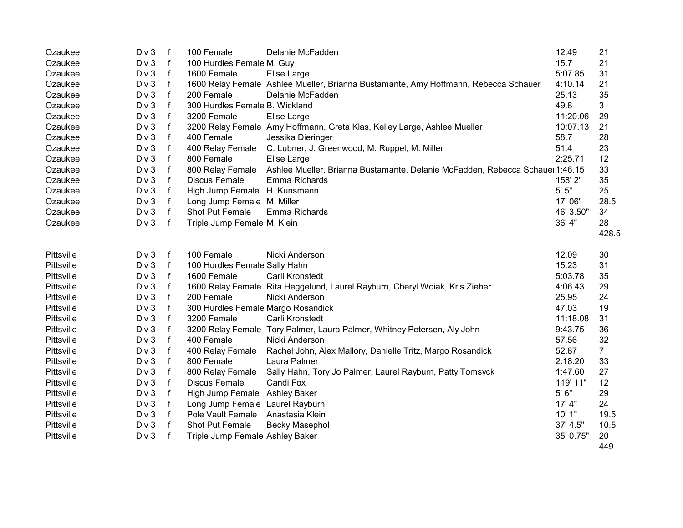| Ozaukee    | Div 3 | $\mathsf f$  | 100 Female                         | Delanie McFadden                                                                    | 12.49     | 21             |
|------------|-------|--------------|------------------------------------|-------------------------------------------------------------------------------------|-----------|----------------|
| Ozaukee    | Div 3 | $\mathsf{f}$ | 100 Hurdles Female M. Guy          |                                                                                     | 15.7      | 21             |
| Ozaukee    | Div 3 | f            | 1600 Female                        | Elise Large                                                                         | 5:07.85   | 31             |
| Ozaukee    | Div 3 | $\mathsf f$  |                                    | 1600 Relay Female Ashlee Mueller, Brianna Bustamante, Amy Hoffmann, Rebecca Schauer | 4:10.14   | 21             |
| Ozaukee    | Div 3 | f            | 200 Female                         | Delanie McFadden                                                                    | 25.13     | 35             |
| Ozaukee    | Div 3 | $\mathsf f$  | 300 Hurdles Female B. Wickland     |                                                                                     | 49.8      | 3              |
| Ozaukee    | Div 3 | f            | 3200 Female                        | Elise Large                                                                         | 11:20.06  | 29             |
| Ozaukee    | Div 3 | $\mathsf f$  |                                    | 3200 Relay Female Amy Hoffmann, Greta Klas, Kelley Large, Ashlee Mueller            | 10:07.13  | 21             |
| Ozaukee    | Div 3 | $\mathsf{f}$ | 400 Female                         | Jessika Dieringer                                                                   | 58.7      | 28             |
| Ozaukee    | Div 3 | $\mathsf{f}$ | 400 Relay Female                   | C. Lubner, J. Greenwood, M. Ruppel, M. Miller                                       | 51.4      | 23             |
| Ozaukee    | Div 3 | $\mathsf{f}$ | 800 Female                         | Elise Large                                                                         | 2:25.71   | 12             |
| Ozaukee    | Div 3 | $\mathsf{f}$ | 800 Relay Female                   | Ashlee Mueller, Brianna Bustamante, Delanie McFadden, Rebecca Schaue 1:46.15        |           | 33             |
| Ozaukee    | Div 3 | $\mathsf f$  | <b>Discus Female</b>               | Emma Richards                                                                       | 158' 2"   | 35             |
| Ozaukee    | Div 3 | $\mathsf{f}$ | High Jump Female H. Kunsmann       |                                                                                     | $5'$ $5"$ | 25             |
| Ozaukee    | Div 3 | $\mathsf{f}$ | Long Jump Female M. Miller         |                                                                                     | 17' 06"   | 28.5           |
| Ozaukee    | Div 3 | $\mathsf{f}$ | Shot Put Female                    | Emma Richards                                                                       | 46' 3.50" | 34             |
| Ozaukee    | Div 3 | f            | Triple Jump Female M. Klein        |                                                                                     | 36' 4"    | 28             |
|            |       |              |                                    |                                                                                     |           | 428.5          |
| Pittsville | Div 3 | f            | 100 Female                         | Nicki Anderson                                                                      | 12.09     | 30             |
| Pittsville | Div 3 | $\mathsf{f}$ | 100 Hurdles Female Sally Hahn      |                                                                                     | 15.23     | 31             |
| Pittsville | Div 3 | f            | 1600 Female                        | Carli Kronstedt                                                                     | 5:03.78   | 35             |
| Pittsville | Div 3 | $\mathsf f$  |                                    | 1600 Relay Female Rita Heggelund, Laurel Rayburn, Cheryl Woiak, Kris Zieher         | 4:06.43   | 29             |
| Pittsville | Div 3 | $\mathsf{f}$ | 200 Female                         | Nicki Anderson                                                                      | 25.95     | 24             |
| Pittsville | Div 3 | $\mathsf f$  | 300 Hurdles Female Margo Rosandick |                                                                                     | 47.03     | 19             |
| Pittsville | Div 3 | $\mathsf{f}$ | 3200 Female                        | Carli Kronstedt                                                                     | 11:18.08  | 31             |
| Pittsville | Div 3 | $\mathsf{f}$ |                                    | 3200 Relay Female Tory Palmer, Laura Palmer, Whitney Petersen, Aly John             | 9:43.75   | 36             |
| Pittsville | Div 3 | $\mathsf f$  | 400 Female                         | Nicki Anderson                                                                      | 57.56     | 32             |
| Pittsville | Div 3 | $\mathsf{f}$ | 400 Relay Female                   | Rachel John, Alex Mallory, Danielle Tritz, Margo Rosandick                          | 52.87     | $\overline{7}$ |
| Pittsville | Div 3 | $\mathsf{f}$ | 800 Female                         | Laura Palmer                                                                        | 2:18.20   | 33             |
| Pittsville | Div 3 | $\mathsf{f}$ | 800 Relay Female                   | Sally Hahn, Tory Jo Palmer, Laurel Rayburn, Patty Tomsyck                           | 1:47.60   | 27             |
| Pittsville | Div 3 | $\mathsf{f}$ | <b>Discus Female</b>               | Candi Fox                                                                           | 119' 11"  | 12             |
| Pittsville | Div 3 | $\mathsf f$  | High Jump Female Ashley Baker      |                                                                                     | $5'6"$    | 29             |
| Pittsville | Div 3 | $\mathsf f$  | Long Jump Female Laurel Rayburn    |                                                                                     | 17' 4"    | 24             |
| Pittsville | Div 3 | $\mathsf f$  | Pole Vault Female                  | Anastasia Klein                                                                     | 10' 1"    | 19.5           |
| Pittsville | Div 3 | $\mathsf{f}$ | Shot Put Female                    | <b>Becky Masephol</b>                                                               | 37' 4.5"  | 10.5           |
| Pittsville | Div 3 | $\mathbf{f}$ | Triple Jump Female Ashley Baker    |                                                                                     | 35' 0.75" | 20             |
|            |       |              |                                    |                                                                                     |           | 449            |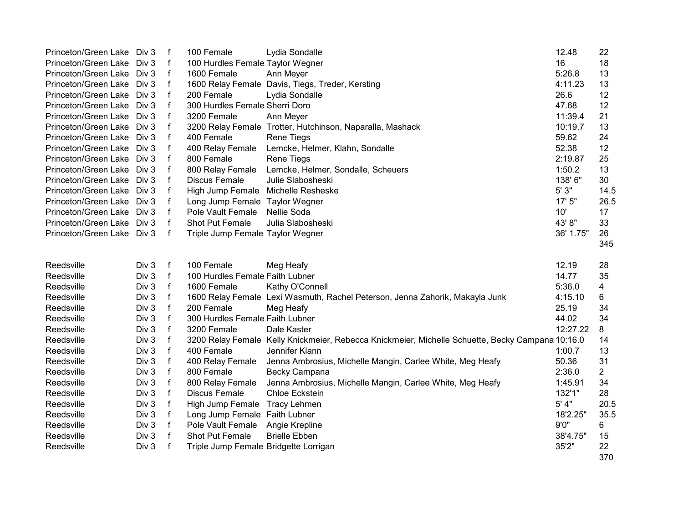| Princeton/Green Lake Div 3 |       | f            | 100 Female                            | Lydia Sondalle                                                                                   | 12.48     | 22             |
|----------------------------|-------|--------------|---------------------------------------|--------------------------------------------------------------------------------------------------|-----------|----------------|
| Princeton/Green Lake Div 3 |       | f            | 100 Hurdles Female Taylor Wegner      |                                                                                                  | 16        | 18             |
| Princeton/Green Lake Div 3 |       | f            | 1600 Female                           | Ann Meyer                                                                                        | 5:26.8    | 13             |
| Princeton/Green Lake Div 3 |       | f            |                                       | 1600 Relay Female Davis, Tiegs, Treder, Kersting                                                 | 4:11.23   | 13             |
| Princeton/Green Lake Div 3 |       | f            | 200 Female                            | Lydia Sondalle                                                                                   | 26.6      | 12             |
| Princeton/Green Lake       | Div 3 | f            | 300 Hurdles Female Sherri Doro        |                                                                                                  | 47.68     | 12             |
| Princeton/Green Lake Div 3 |       | f            | 3200 Female                           | Ann Meyer                                                                                        | 11:39.4   | 21             |
| Princeton/Green Lake Div 3 |       | f            |                                       | 3200 Relay Female Trotter, Hutchinson, Naparalla, Mashack                                        | 10:19.7   | 13             |
| Princeton/Green Lake Div 3 |       | f            | 400 Female                            | <b>Rene Tiegs</b>                                                                                | 59.62     | 24             |
| Princeton/Green Lake Div 3 |       | f            | 400 Relay Female                      | Lemcke, Helmer, Klahn, Sondalle                                                                  | 52.38     | 12             |
| Princeton/Green Lake Div 3 |       | f            | 800 Female                            | <b>Rene Tiegs</b>                                                                                | 2:19.87   | 25             |
| Princeton/Green Lake Div 3 |       | f            | 800 Relay Female                      | Lemcke, Helmer, Sondalle, Scheuers                                                               | 1:50.2    | 13             |
| Princeton/Green Lake Div 3 |       | f            | <b>Discus Female</b>                  | Julie Slabosheski                                                                                | 138' 6"   | 30             |
| Princeton/Green Lake Div 3 |       | f            | High Jump Female Michelle Resheske    |                                                                                                  | 5' 3"     | 14.5           |
| Princeton/Green Lake Div 3 |       | f            | Long Jump Female Taylor Wegner        |                                                                                                  | 17' 5"    | 26.5           |
| Princeton/Green Lake Div 3 |       | f            | Pole Vault Female                     | Nellie Soda                                                                                      | 10'       | 17             |
| Princeton/Green Lake Div 3 |       | f            | <b>Shot Put Female</b>                | Julia Slabosheski                                                                                | 43' 8"    | 33             |
| Princeton/Green Lake Div 3 |       | $\mathbf{f}$ | Triple Jump Female Taylor Wegner      |                                                                                                  | 36' 1.75" | 26             |
|                            |       |              |                                       |                                                                                                  |           | 345            |
|                            |       |              |                                       |                                                                                                  |           |                |
| Reedsville                 | Div 3 | f            | 100 Female                            | Meg Heafy                                                                                        | 12.19     | 28             |
| Reedsville                 | Div 3 | f            | 100 Hurdles Female Faith Lubner       |                                                                                                  | 14.77     | 35             |
| Reedsville                 | Div 3 | f            | 1600 Female                           | Kathy O'Connell                                                                                  | 5:36.0    | 4              |
| Reedsville                 | Div 3 | f            |                                       | 1600 Relay Female Lexi Wasmuth, Rachel Peterson, Jenna Zahorik, Makayla Junk                     | 4:15.10   | 6              |
| Reedsville                 | Div 3 | f            | 200 Female                            | Meg Heafy                                                                                        | 25.19     | 34             |
| Reedsville                 | Div 3 | f            | 300 Hurdles Female Faith Lubner       |                                                                                                  | 44.02     | 34             |
| Reedsville                 | Div 3 | f            | 3200 Female                           | Dale Kaster                                                                                      | 12:27.22  | 8              |
| Reedsville                 | Div 3 | f            |                                       | 3200 Relay Female Kelly Knickmeier, Rebecca Knickmeier, Michelle Schuette, Becky Campana 10:16.0 |           | 14             |
| Reedsville                 | Div 3 | f            | 400 Female                            | Jennifer Klann                                                                                   | 1:00.7    | 13             |
| Reedsville                 | Div 3 | $\mathsf f$  | 400 Relay Female                      | Jenna Ambrosius, Michelle Mangin, Carlee White, Meg Heafy                                        | 50.36     | 31             |
| Reedsville                 | Div 3 | $\mathsf f$  | 800 Female                            | Becky Campana                                                                                    | 2:36.0    | $\overline{2}$ |
| Reedsville                 | Div 3 | f            | 800 Relay Female                      | Jenna Ambrosius, Michelle Mangin, Carlee White, Meg Heafy                                        | 1:45.91   | 34             |
| Reedsville                 | Div 3 | f            | <b>Discus Female</b>                  | Chloe Eckstein                                                                                   | 132'1"    | 28             |
| Reedsville                 | Div 3 | f            | High Jump Female Tracy Lehmen         |                                                                                                  | 5' 4"     | 20.5           |
| Reedsville                 | Div 3 | f            | Long Jump Female Faith Lubner         |                                                                                                  | 18'2.25"  | 35.5           |
| Reedsville                 | Div 3 | f            | Pole Vault Female                     | Angie Krepline                                                                                   | 9'0''     | 6              |
| Reedsville                 | Div 3 | f            | Shot Put Female                       | <b>Brielle Ebben</b>                                                                             | 38'4.75"  | 15             |
| Reedsville                 | Div 3 | f            | Triple Jump Female Bridgette Lorrigan |                                                                                                  | 35'2"     | 22<br>370      |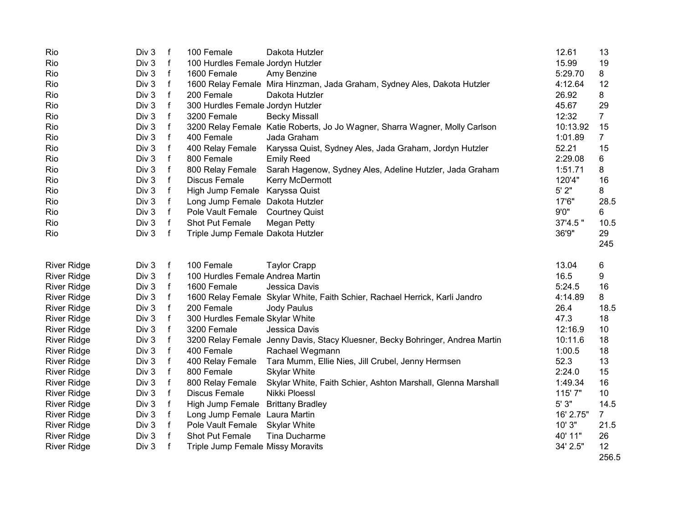| Rio                | Div 3 | $\mathsf{f}$ | 100 Female                        | Dakota Hutzler                                                                | 12.61     | 13              |
|--------------------|-------|--------------|-----------------------------------|-------------------------------------------------------------------------------|-----------|-----------------|
| Rio                | Div 3 | f            | 100 Hurdles Female Jordyn Hutzler |                                                                               | 15.99     | 19              |
| Rio                | Div 3 | f            | 1600 Female                       | Amy Benzine                                                                   | 5:29.70   | 8               |
| Rio                | Div 3 | $\mathsf{f}$ |                                   | 1600 Relay Female Mira Hinzman, Jada Graham, Sydney Ales, Dakota Hutzler      | 4:12.64   | 12              |
| Rio                | Div 3 | $\mathsf{f}$ | 200 Female                        | Dakota Hutzler                                                                | 26.92     | 8               |
| Rio                | Div 3 | $\mathsf f$  | 300 Hurdles Female Jordyn Hutzler |                                                                               | 45.67     | 29              |
| Rio                | Div 3 | $\mathsf{f}$ | 3200 Female                       | <b>Becky Missall</b>                                                          | 12:32     | $\overline{7}$  |
| Rio                | Div 3 | f            |                                   | 3200 Relay Female Katie Roberts, Jo Jo Wagner, Sharra Wagner, Molly Carlson   | 10:13.92  | 15              |
| Rio                | Div 3 | $\mathsf{f}$ | 400 Female                        | Jada Graham                                                                   | 1:01.89   | $\overline{7}$  |
| Rio                | Div 3 | f            | 400 Relay Female                  | Karyssa Quist, Sydney Ales, Jada Graham, Jordyn Hutzler                       | 52.21     | 15              |
| Rio                | Div 3 | $\mathsf f$  | 800 Female                        | <b>Emily Reed</b>                                                             | 2:29.08   | 6               |
| Rio                | Div 3 | f            | 800 Relay Female                  | Sarah Hagenow, Sydney Ales, Adeline Hutzler, Jada Graham                      | 1:51.71   | 8               |
| Rio                | Div 3 | f            | Discus Female                     | Kerry McDermott                                                               | 120'4"    | 16              |
| Rio                | Div 3 | f            | High Jump Female Karyssa Quist    |                                                                               | $5'$ 2"   | 8               |
| Rio                | Div 3 | f            | Long Jump Female Dakota Hutzler   |                                                                               | 17'6"     | 28.5            |
| Rio                | Div 3 | f            | Pole Vault Female                 | <b>Courtney Quist</b>                                                         | 9'0''     | 6               |
| Rio                | Div 3 | $\mathsf{f}$ | Shot Put Female                   | <b>Megan Petty</b>                                                            | 37'4.5"   | 10.5            |
| Rio                | Div 3 | $\mathbf f$  | Triple Jump Female Dakota Hutzler |                                                                               | 36'9"     | 29              |
|                    |       |              |                                   |                                                                               |           | 245             |
| <b>River Ridge</b> | Div 3 | $\mathsf{f}$ | 100 Female                        | <b>Taylor Crapp</b>                                                           | 13.04     | 6               |
| <b>River Ridge</b> | Div 3 | f            | 100 Hurdles Female Andrea Martin  |                                                                               | 16.5      | 9               |
| <b>River Ridge</b> | Div 3 | f            | 1600 Female                       | Jessica Davis                                                                 | 5:24.5    | 16              |
| <b>River Ridge</b> | Div 3 | $\mathsf f$  |                                   | 1600 Relay Female Skylar White, Faith Schier, Rachael Herrick, Karli Jandro   | 4:14.89   | 8               |
| <b>River Ridge</b> | Div 3 | $\mathsf{f}$ | 200 Female                        | Jody Paulus                                                                   | 26.4      | 18.5            |
| <b>River Ridge</b> | Div 3 | $\mathsf f$  | 300 Hurdles Female Skylar White   |                                                                               | 47.3      | 18              |
| <b>River Ridge</b> | Div 3 | $\mathsf{f}$ | 3200 Female                       | Jessica Davis                                                                 | 12:16.9   | 10 <sub>1</sub> |
| <b>River Ridge</b> | Div 3 | f            |                                   | 3200 Relay Female Jenny Davis, Stacy Kluesner, Becky Bohringer, Andrea Martin | 10:11.6   | 18              |
| <b>River Ridge</b> | Div 3 | $\mathsf{f}$ | 400 Female                        | Rachael Wegmann                                                               | 1:00.5    | 18              |
| <b>River Ridge</b> | Div 3 | $\mathsf f$  | 400 Relay Female                  | Tara Mumm, Ellie Nies, Jill Crubel, Jenny Hermsen                             | 52.3      | 13              |
| <b>River Ridge</b> | Div 3 | $\mathsf f$  | 800 Female                        | <b>Skylar White</b>                                                           | 2:24.0    | 15              |
| <b>River Ridge</b> | Div 3 | $\mathsf f$  | 800 Relay Female                  |                                                                               | 1:49.34   | 16              |
|                    | Div 3 | $\mathsf f$  | <b>Discus Female</b>              | Skylar White, Faith Schier, Ashton Marshall, Glenna Marshall<br>Nikki Ploessl | 115'7"    | 10              |
| <b>River Ridge</b> | Div 3 | $\mathsf f$  |                                   |                                                                               | 5'3"      | 14.5            |
| <b>River Ridge</b> |       |              | High Jump Female                  | <b>Brittany Bradley</b>                                                       | 16' 2.75" | $\overline{7}$  |
| <b>River Ridge</b> | Div 3 | f            | Long Jump Female Laura Martin     |                                                                               |           |                 |
| <b>River Ridge</b> | Div 3 | f            | Pole Vault Female                 | <b>Skylar White</b>                                                           | 10' 3"    | 21.5            |
| <b>River Ridge</b> | Div 3 | $\mathsf f$  | Shot Put Female                   | Tina Ducharme                                                                 | 40' 11"   | 26              |
| <b>River Ridge</b> | Div 3 | $\mathbf f$  | Triple Jump Female Missy Moravits |                                                                               | 34' 2.5"  | 12<br>256.5     |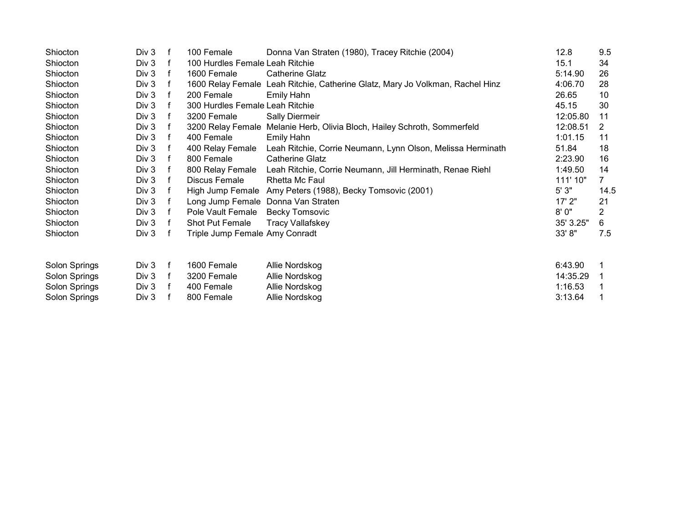| Shiocton      | Div 3 | f | 100 Female                      | Donna Van Straten (1980), Tracey Ritchie (2004)                               | 12.8      | 9.5  |
|---------------|-------|---|---------------------------------|-------------------------------------------------------------------------------|-----------|------|
| Shiocton      | Div 3 | f | 100 Hurdles Female Leah Ritchie |                                                                               | 15.1      | 34   |
| Shiocton      | Div 3 |   | 1600 Female                     | Catherine Glatz                                                               | 5:14.90   | 26   |
| Shiocton      | Div 3 | f |                                 | 1600 Relay Female Leah Ritchie, Catherine Glatz, Mary Jo Volkman, Rachel Hinz | 4:06.70   | 28   |
| Shiocton      | Div 3 | f | 200 Female                      | Emily Hahn                                                                    | 26.65     | 10   |
| Shiocton      | Div 3 | f | 300 Hurdles Female Leah Ritchie |                                                                               | 45.15     | 30   |
| Shiocton      | Div 3 |   | 3200 Female                     | <b>Sally Diermeir</b>                                                         | 12:05.80  | 11   |
| Shiocton      | Div 3 | f |                                 | 3200 Relay Female Melanie Herb, Olivia Bloch, Hailey Schroth, Sommerfeld      | 12:08.51  | 2    |
| Shiocton      | Div 3 | f | 400 Female                      | Emily Hahn                                                                    | 1:01.15   | 11   |
| Shiocton      | Div 3 | f | 400 Relay Female                | Leah Ritchie, Corrie Neumann, Lynn Olson, Melissa Herminath                   | 51.84     | 18   |
| Shiocton      | Div 3 | f | 800 Female                      | Catherine Glatz                                                               | 2:23.90   | 16   |
| Shiocton      | Div 3 | f | 800 Relay Female                | Leah Ritchie, Corrie Neumann, Jill Herminath, Renae Riehl                     | 1:49.50   | 14   |
| Shiocton      | Div 3 | f | Discus Female                   | Rhetta Mc Faul                                                                | 111' 10"  |      |
| Shiocton      | Div 3 | f |                                 | High Jump Female Amy Peters (1988), Becky Tomsovic (2001)                     | 5'3"      | 14.5 |
| Shiocton      | Div 3 | f |                                 | Long Jump Female Donna Van Straten                                            | 17' 2"    | 21   |
| Shiocton      | Div 3 | f | Pole Vault Female               | <b>Becky Tomsovic</b>                                                         | 8'0''     | 2    |
| Shiocton      | Div 3 | f | <b>Shot Put Female</b>          | <b>Tracy Vallafskey</b>                                                       | 35' 3.25" | 6    |
| Shiocton      | Div 3 | f | Triple Jump Female Amy Conradt  |                                                                               | 33' 8''   | 7.5  |
| Solon Springs | Div 3 | f | 1600 Female                     | Allie Nordskog                                                                | 6:43.90   |      |
| Solon Springs | Div 3 | f | 3200 Female                     | Allie Nordskog                                                                | 14:35.29  |      |
| Solon Springs | Div 3 | f | 400 Female                      | Allie Nordskog                                                                | 1:16.53   |      |
| Solon Springs | Div 3 |   | 800 Female                      | Allie Nordskog                                                                | 3:13.64   |      |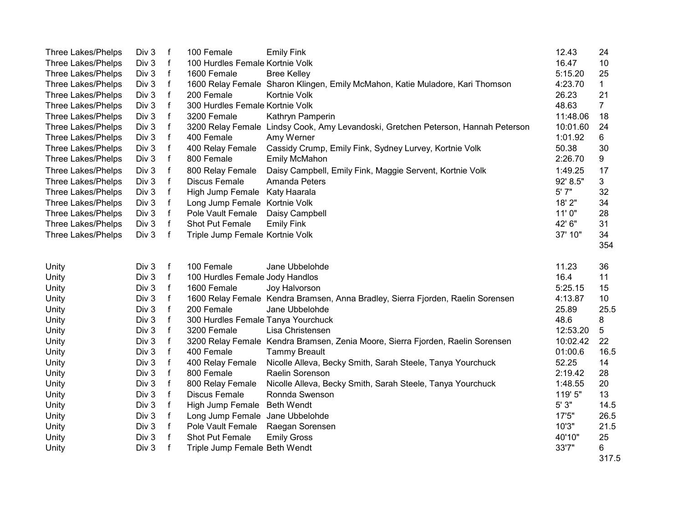| Three Lakes/Phelps | Div 3 | f            | 100 Female                         | <b>Emily Fink</b>                                                                 | 12.43    | 24             |
|--------------------|-------|--------------|------------------------------------|-----------------------------------------------------------------------------------|----------|----------------|
| Three Lakes/Phelps | Div 3 | $\mathsf f$  | 100 Hurdles Female Kortnie Volk    |                                                                                   | 16.47    | 10             |
| Three Lakes/Phelps | Div 3 | f            | 1600 Female                        | <b>Bree Kelley</b>                                                                | 5:15.20  | 25             |
| Three Lakes/Phelps | Div 3 | f            |                                    | 1600 Relay Female Sharon Klingen, Emily McMahon, Katie Muladore, Kari Thomson     | 4:23.70  | $\mathbf{1}$   |
| Three Lakes/Phelps | Div 3 | f            | 200 Female                         | Kortnie Volk                                                                      | 26.23    | 21             |
| Three Lakes/Phelps | Div 3 | f            | 300 Hurdles Female Kortnie Volk    |                                                                                   | 48.63    | $\overline{7}$ |
| Three Lakes/Phelps | Div 3 | f            | 3200 Female                        | Kathryn Pamperin                                                                  | 11:48.06 | 18             |
| Three Lakes/Phelps | Div 3 | f            |                                    | 3200 Relay Female Lindsy Cook, Amy Levandoski, Gretchen Peterson, Hannah Peterson | 10:01.60 | 24             |
| Three Lakes/Phelps | Div 3 | f            | 400 Female                         | Amy Werner                                                                        | 1:01.92  | 6              |
| Three Lakes/Phelps | Div 3 | $\mathsf f$  | 400 Relay Female                   | Cassidy Crump, Emily Fink, Sydney Lurvey, Kortnie Volk                            | 50.38    | 30             |
| Three Lakes/Phelps | Div 3 | f            | 800 Female                         | <b>Emily McMahon</b>                                                              | 2:26.70  | 9              |
| Three Lakes/Phelps | Div 3 | $\mathsf f$  | 800 Relay Female                   | Daisy Campbell, Emily Fink, Maggie Servent, Kortnie Volk                          | 1:49.25  | 17             |
| Three Lakes/Phelps | Div 3 | $\mathsf f$  | <b>Discus Female</b>               | Amanda Peters                                                                     | 92' 8.5" | 3              |
| Three Lakes/Phelps | Div 3 | f            | High Jump Female                   | Katy Haarala                                                                      | 5' 7"    | 32             |
| Three Lakes/Phelps | Div 3 | f            | Long Jump Female Kortnie Volk      |                                                                                   | 18' 2"   | 34             |
| Three Lakes/Phelps | Div 3 | f            | Pole Vault Female                  | Daisy Campbell                                                                    | 11'0"    | 28             |
| Three Lakes/Phelps | Div 3 | f            | Shot Put Female                    | <b>Emily Fink</b>                                                                 | 42' 6"   | 31             |
| Three Lakes/Phelps | Div 3 | f            | Triple Jump Female Kortnie Volk    |                                                                                   | 37' 10"  | 34             |
|                    |       |              |                                    |                                                                                   |          | 354            |
|                    |       |              |                                    |                                                                                   |          |                |
| Unity              | Div 3 | f            | 100 Female                         | Jane Ubbelohde                                                                    | 11.23    | 36             |
| Unity              | Div 3 | $\mathsf f$  | 100 Hurdles Female Jody Handlos    |                                                                                   | 16.4     | 11             |
| Unity              | Div 3 | f            | 1600 Female                        | Joy Halvorson                                                                     | 5:25.15  | 15             |
| Unity              | Div 3 | f            |                                    | 1600 Relay Female Kendra Bramsen, Anna Bradley, Sierra Fjorden, Raelin Sorensen   | 4:13.87  | 10             |
| Unity              | Div 3 | f            | 200 Female                         | Jane Ubbelohde                                                                    | 25.89    | 25.5           |
| Unity              | Div 3 | f            | 300 Hurdles Female Tanya Yourchuck |                                                                                   | 48.6     | 8              |
| Unity              | Div 3 | f            | 3200 Female                        | Lisa Christensen                                                                  | 12:53.20 | 5              |
| Unity              | Div 3 | $\mathsf f$  |                                    | 3200 Relay Female Kendra Bramsen, Zenia Moore, Sierra Fjorden, Raelin Sorensen    | 10:02.42 | 22             |
| Unity              | Div 3 | $\mathsf f$  | 400 Female                         | <b>Tammy Breault</b>                                                              | 01:00.6  | 16.5           |
| Unity              | Div 3 | $\mathsf f$  | 400 Relay Female                   | Nicolle Alleva, Becky Smith, Sarah Steele, Tanya Yourchuck                        | 52.25    | 14             |
| Unity              | Div 3 | f            | 800 Female                         | Raelin Sorenson                                                                   | 2:19.42  | 28             |
| Unity              | Div 3 | f            | 800 Relay Female                   | Nicolle Alleva, Becky Smith, Sarah Steele, Tanya Yourchuck                        | 1:48.55  | 20             |
| Unity              | Div 3 | f            | <b>Discus Female</b>               | Ronnda Swenson                                                                    | 119' 5"  | 13             |
| Unity              | Div 3 | f            | High Jump Female                   | <b>Beth Wendt</b>                                                                 | 5'3''    | 14.5           |
| Unity              | Div 3 | f            | Long Jump Female                   | Jane Ubbelohde                                                                    | 17'5"    | 26.5           |
| Unity              | Div 3 | f            | Pole Vault Female                  | Raegan Sorensen                                                                   | 10'3"    | 21.5           |
| Unity              | Div 3 | f            | Shot Put Female                    | <b>Emily Gross</b>                                                                | 40'10"   | 25             |
| Unity              | Div 3 | $\mathsf{f}$ | Triple Jump Female Beth Wendt      |                                                                                   | 33'7"    | 6              |
|                    |       |              |                                    |                                                                                   |          | 317.5          |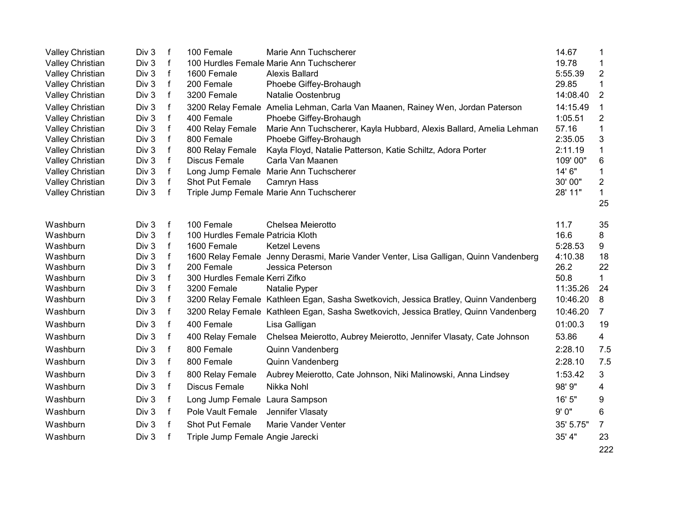| Valley Christian | Div 3 | $\mathsf f$  | 100 Female                               | Marie Ann Tuchscherer                                                                 | 14.67     | 1                       |
|------------------|-------|--------------|------------------------------------------|---------------------------------------------------------------------------------------|-----------|-------------------------|
| Valley Christian | Div 3 | $\mathbf{f}$ | 100 Hurdles Female Marie Ann Tuchscherer |                                                                                       | 19.78     | 1                       |
| Valley Christian | Div 3 | $\mathsf{f}$ | 1600 Female                              | <b>Alexis Ballard</b>                                                                 | 5:55.39   | 2                       |
| Valley Christian | Div 3 | $\mathsf{f}$ | 200 Female                               | Phoebe Giffey-Brohaugh                                                                | 29.85     | 1                       |
| Valley Christian | Div 3 | $\mathsf{f}$ | 3200 Female                              | Natalie Oostenbrug                                                                    | 14:08.40  | $\overline{2}$          |
| Valley Christian | Div 3 | f            |                                          | 3200 Relay Female Amelia Lehman, Carla Van Maanen, Rainey Wen, Jordan Paterson        | 14:15.49  | 1                       |
| Valley Christian | Div 3 | $\mathsf{f}$ | 400 Female                               | Phoebe Giffey-Brohaugh                                                                | 1:05.51   | $\overline{2}$          |
| Valley Christian | Div 3 | $\mathsf{f}$ | 400 Relay Female                         | Marie Ann Tuchscherer, Kayla Hubbard, Alexis Ballard, Amelia Lehman                   | 57.16     | 1                       |
| Valley Christian | Div 3 | $\mathsf{f}$ | 800 Female                               | Phoebe Giffey-Brohaugh                                                                | 2:35.05   | 3                       |
| Valley Christian | Div 3 | $\mathsf{f}$ | 800 Relay Female                         | Kayla Floyd, Natalie Patterson, Katie Schiltz, Adora Porter                           | 2:11.19   | 1                       |
| Valley Christian | Div 3 | $\mathsf{f}$ | <b>Discus Female</b>                     | Carla Van Maanen                                                                      | 109'00"   | 6                       |
| Valley Christian | Div 3 | $\mathsf{f}$ | Long Jump Female Marie Ann Tuchscherer   |                                                                                       | 14' 6"    | 1                       |
| Valley Christian | Div 3 | $\mathsf{f}$ | Shot Put Female                          | Camryn Hass                                                                           | 30' 00"   | $\overline{\mathbf{c}}$ |
| Valley Christian | Div 3 | $\mathsf{f}$ | Triple Jump Female Marie Ann Tuchscherer |                                                                                       | 28' 11"   | $\mathbf 1$             |
|                  |       |              |                                          |                                                                                       |           | 25                      |
| Washburn         | Div 3 | $\mathsf f$  | 100 Female                               | Chelsea Meierotto                                                                     | 11.7      | 35                      |
| Washburn         | Div 3 | $\mathsf{f}$ | 100 Hurdles Female Patricia Kloth        |                                                                                       | 16.6      | 8                       |
| Washburn         | Div 3 | $\mathsf f$  | 1600 Female                              | <b>Ketzel Levens</b>                                                                  | 5:28.53   | 9                       |
| Washburn         | Div 3 | f            |                                          | 1600 Relay Female Jenny Derasmi, Marie Vander Venter, Lisa Galligan, Quinn Vandenberg | 4:10.38   | 18                      |
| Washburn         | Div 3 | f            | 200 Female                               | Jessica Peterson                                                                      | 26.2      | 22                      |
| Washburn         | Div 3 | $\mathsf f$  | 300 Hurdles Female Kerri Zifko           |                                                                                       | 50.8      | $\mathbf 1$             |
| Washburn         | Div 3 | $\mathsf f$  | 3200 Female                              | Natalie Pyper                                                                         | 11:35.26  | 24                      |
| Washburn         | Div 3 | f            |                                          | 3200 Relay Female Kathleen Egan, Sasha Swetkovich, Jessica Bratley, Quinn Vandenberg  | 10:46.20  | 8                       |
| Washburn         | Div 3 | $\mathsf f$  |                                          | 3200 Relay Female Kathleen Egan, Sasha Swetkovich, Jessica Bratley, Quinn Vandenberg  | 10:46.20  | 7                       |
| Washburn         | Div 3 | f            | 400 Female                               | Lisa Galligan                                                                         | 01:00.3   | 19                      |
| Washburn         | Div 3 | $\mathbf{f}$ | 400 Relay Female                         | Chelsea Meierotto, Aubrey Meierotto, Jennifer Vlasaty, Cate Johnson                   | 53.86     | 4                       |
| Washburn         | Div 3 | f            | 800 Female                               | <b>Quinn Vandenberg</b>                                                               | 2:28.10   | 7.5                     |
| Washburn         | Div 3 | f            | 800 Female                               | <b>Quinn Vandenberg</b>                                                               | 2:28.10   | 7.5                     |
| Washburn         | Div 3 | f            | 800 Relay Female                         | Aubrey Meierotto, Cate Johnson, Niki Malinowski, Anna Lindsey                         | 1:53.42   | 3                       |
| Washburn         | Div 3 | f            | <b>Discus Female</b>                     | Nikka Nohl                                                                            | 98' 9"    | 4                       |
| Washburn         | Div 3 | f            | Long Jump Female Laura Sampson           |                                                                                       | 16' 5"    | 9                       |
| Washburn         | Div 3 | $\mathbf f$  | Pole Vault Female                        | Jennifer Vlasaty                                                                      | 9'0"      | 6                       |
| Washburn         | Div 3 | $\mathbf{f}$ | Shot Put Female                          | Marie Vander Venter                                                                   | 35' 5.75" | 7                       |
| Washburn         | Div 3 | $\mathsf f$  | Triple Jump Female Angie Jarecki         |                                                                                       | 35' 4"    | 23                      |
|                  |       |              |                                          |                                                                                       |           | 222                     |